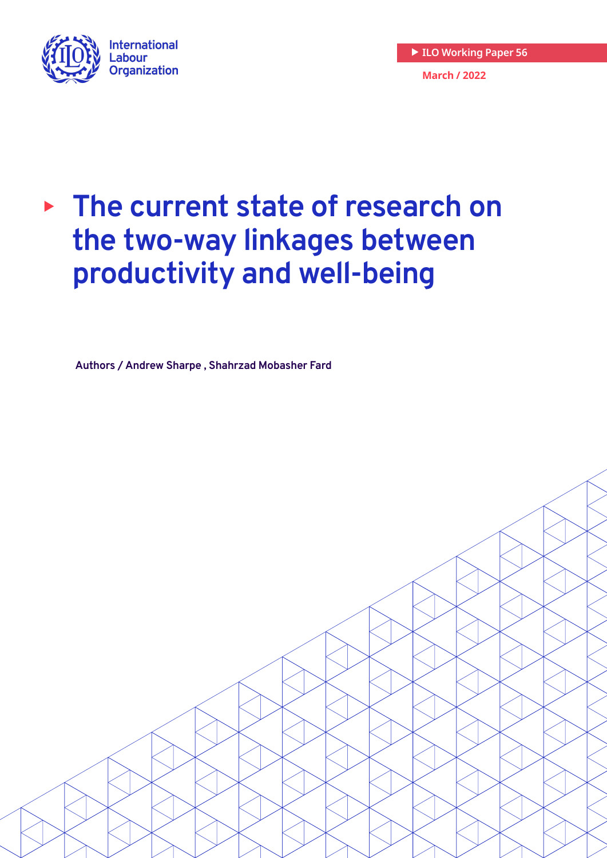

**March / 2022 ILO Working Paper 56**

# **▶ The current state of research on the two-way linkages between productivity and well-being**

**Authors / Andrew Sharpe , Shahrzad Mobasher Fard**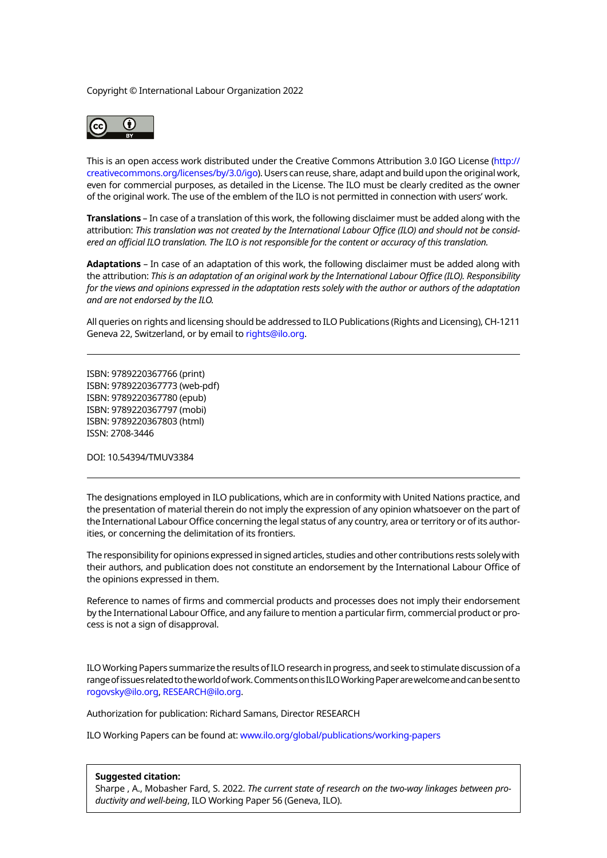#### Copyright © International Labour Organization 2022



This is an open access work distributed under the Creative Commons Attribution 3.0 IGO License ([http://](http://creativecommons.org/licenses/by/3.0/igo) [creativecommons.org/licenses/by/3.0/igo\)](http://creativecommons.org/licenses/by/3.0/igo). Users can reuse, share, adapt and build upon the original work, even for commercial purposes, as detailed in the License. The ILO must be clearly credited as the owner of the original work. The use of the emblem of the ILO is not permitted in connection with users' work.

**Translations** – In case of a translation of this work, the following disclaimer must be added along with the attribution: *This translation was not created by the International Labour Office (ILO) and should not be considered an official ILO translation. The ILO is not responsible for the content or accuracy of this translation.*

**Adaptations** – In case of an adaptation of this work, the following disclaimer must be added along with the attribution: *This is an adaptation of an original work by the International Labour Office (ILO). Responsibility for the views and opinions expressed in the adaptation rests solely with the author or authors of the adaptation and are not endorsed by the ILO.*

All queries on rights and licensing should be addressed to ILO Publications (Rights and Licensing), CH-1211 Geneva 22, Switzerland, or by email to [rights@ilo.org.](mailto:rights@ilo.org)

ISBN: 9789220367766 (print) ISBN: 9789220367773 (web-pdf) ISBN: 9789220367780 (epub) ISBN: 9789220367797 (mobi) ISBN: 9789220367803 (html) ISSN: 2708-3446

DOI: 10.54394/TMUV3384

The designations employed in ILO publications, which are in conformity with United Nations practice, and the presentation of material therein do not imply the expression of any opinion whatsoever on the part of the International Labour Office concerning the legal status of any country, area or territory or of its authorities, or concerning the delimitation of its frontiers.

The responsibility for opinions expressed in signed articles, studies and other contributions rests solely with their authors, and publication does not constitute an endorsement by the International Labour Office of the opinions expressed in them.

Reference to names of firms and commercial products and processes does not imply their endorsement by the International Labour Office, and any failure to mention a particular firm, commercial product or process is not a sign of disapproval.

ILO Working Papers summarize the results of ILO research in progress, and seek to stimulate discussion of a range of issues related to the world of work. Comments on this ILO Working Paper are welcome and can be sent to [rogovsky@ilo.org](mailto:rogovsky@ilo.org), [RESEARCH@ilo.org](mailto:RESEARCH@ilo.org).

Authorization for publication: Richard Samans, Director RESEARCH

ILO Working Papers can be found at: <www.ilo.org/global/publications/working-papers>

#### **Suggested citation:**

Sharpe , A., Mobasher Fard, S. 2022. *The current state of research on the two-way linkages between productivity and well-being*, ILO Working Paper 56 (Geneva, ILO).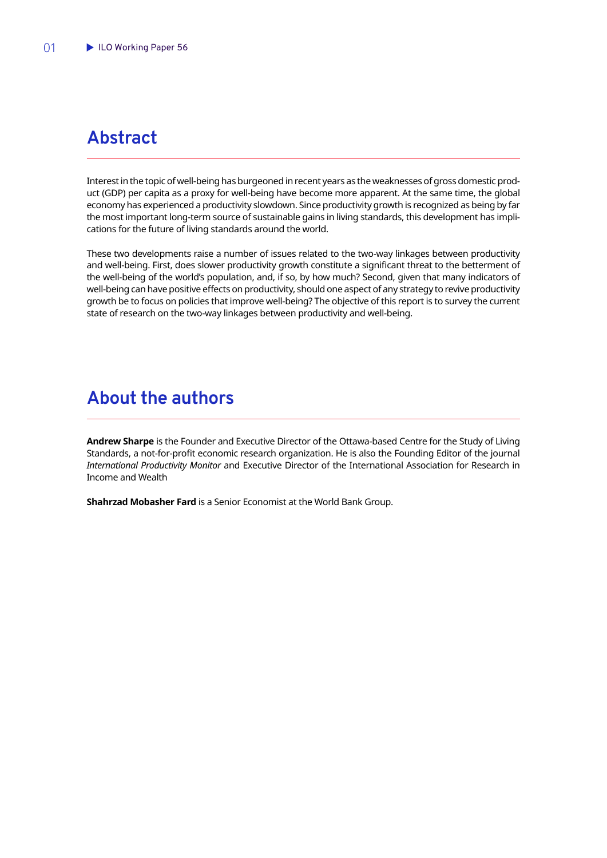## <span id="page-2-0"></span>**Abstract**

Interest in the topic of well-being has burgeoned in recent years as the weaknesses of gross domestic product (GDP) per capita as a proxy for well-being have become more apparent. At the same time, the global economy has experienced a productivity slowdown. Since productivity growth is recognized as being by far the most important long-term source of sustainable gains in living standards, this development has implications for the future of living standards around the world.

These two developments raise a number of issues related to the two-way linkages between productivity and well-being. First, does slower productivity growth constitute a significant threat to the betterment of the well-being of the world's population, and, if so, by how much? Second, given that many indicators of well-being can have positive effects on productivity, should one aspect of any strategy to revive productivity growth be to focus on policies that improve well-being? The objective of this report is to survey the current state of research on the two-way linkages between productivity and well-being.

## **About the authors**

**Andrew Sharpe** is the Founder and Executive Director of the Ottawa-based Centre for the Study of Living Standards, a not-for-profit economic research organization. He is also the Founding Editor of the journal *International Productivity Monitor* and Executive Director of the International Association for Research in Income and Wealth

**Shahrzad Mobasher Fard** is a Senior Economist at the World Bank Group.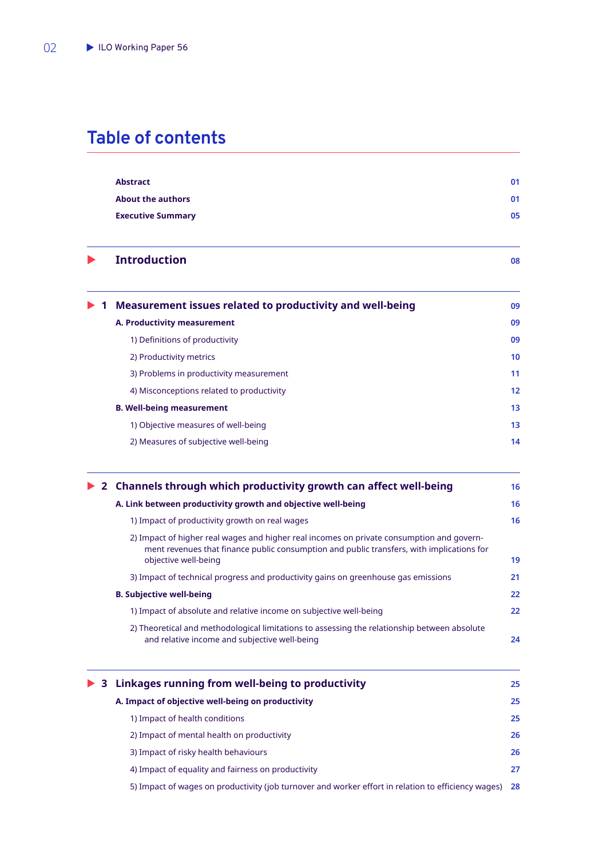## **Table of contents**

| <b>Abstract</b>          | 01 |
|--------------------------|----|
| About the authors        | 01 |
| <b>Executive Summary</b> | 05 |

**Introduction** 08

|  | $\triangleright$ 1 Measurement issues related to productivity and well-being | 09 |
|--|------------------------------------------------------------------------------|----|
|  | A. Productivity measurement                                                  | 09 |
|  | 1) Definitions of productivity                                               | 09 |
|  | 2) Productivity metrics                                                      | 10 |
|  | 3) Problems in productivity measurement                                      | 11 |
|  | 4) Misconceptions related to productivity                                    | 12 |
|  | <b>B. Well-being measurement</b>                                             | 13 |
|  | 1) Objective measures of well-being                                          | 13 |
|  | 2) Measures of subjective well-being                                         | 14 |
|  |                                                                              |    |

|  | ▶ 2 Channels through which productivity growth can affect well-being                                                                                                                                           | 16                |
|--|----------------------------------------------------------------------------------------------------------------------------------------------------------------------------------------------------------------|-------------------|
|  | A. Link between productivity growth and objective well-being                                                                                                                                                   | 16                |
|  | 1) Impact of productivity growth on real wages                                                                                                                                                                 | 16                |
|  | 2) Impact of higher real wages and higher real incomes on private consumption and govern-<br>ment revenues that finance public consumption and public transfers, with implications for<br>objective well-being | 19                |
|  | 3) Impact of technical progress and productivity gains on greenhouse gas emissions                                                                                                                             | 21                |
|  | <b>B. Subjective well-being</b>                                                                                                                                                                                | $22 \overline{ }$ |
|  | 1) Impact of absolute and relative income on subjective well-being                                                                                                                                             | $22 \overline{ }$ |
|  | 2) Theoretical and methodological limitations to assessing the relationship between absolute<br>and relative income and subjective well-being                                                                  | 24                |

| $\triangleright$ 3 Linkages running from well-being to productivity                                    | 25 |
|--------------------------------------------------------------------------------------------------------|----|
| A. Impact of objective well-being on productivity                                                      | 25 |
| 1) Impact of health conditions                                                                         | 25 |
| 2) Impact of mental health on productivity                                                             | 26 |
| 3) Impact of risky health behaviours                                                                   | 26 |
| 4) Impact of equality and fairness on productivity                                                     | 27 |
| 5) Impact of wages on productivity (job turnover and worker effort in relation to efficiency wages) 28 |    |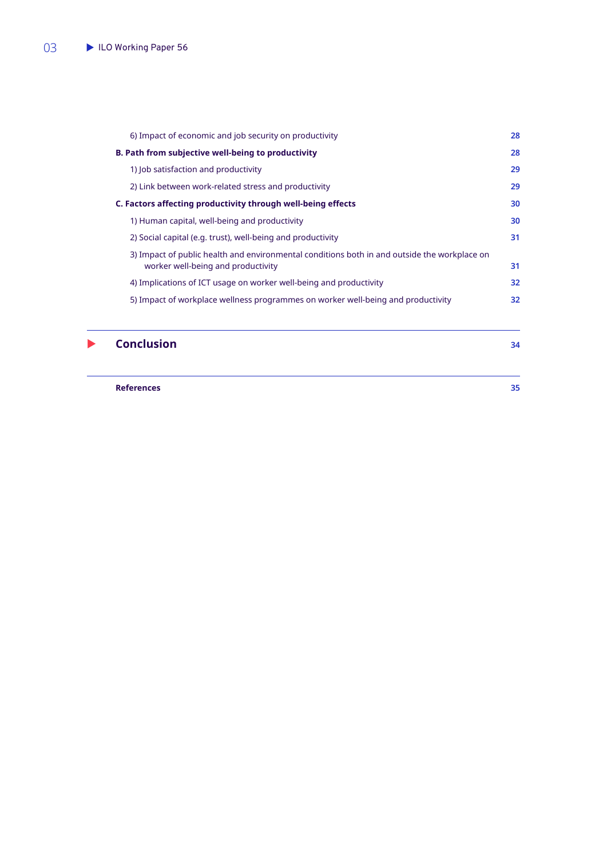| 6) Impact of economic and job security on productivity                                                                             | 28 |
|------------------------------------------------------------------------------------------------------------------------------------|----|
| B. Path from subjective well-being to productivity                                                                                 | 28 |
| 1) Job satisfaction and productivity                                                                                               | 29 |
| 2) Link between work-related stress and productivity                                                                               | 29 |
| C. Factors affecting productivity through well-being effects                                                                       | 30 |
| 1) Human capital, well-being and productivity                                                                                      | 30 |
| 2) Social capital (e.g. trust), well-being and productivity                                                                        | 31 |
| 3) Impact of public health and environmental conditions both in and outside the workplace on<br>worker well-being and productivity | 31 |
| 4) Implications of ICT usage on worker well-being and productivity                                                                 | 32 |
| 5) Impact of workplace wellness programmes on worker well-being and productivity                                                   | 32 |
|                                                                                                                                    |    |

**Conclusion** 34

**[References](#page-36-0) 35**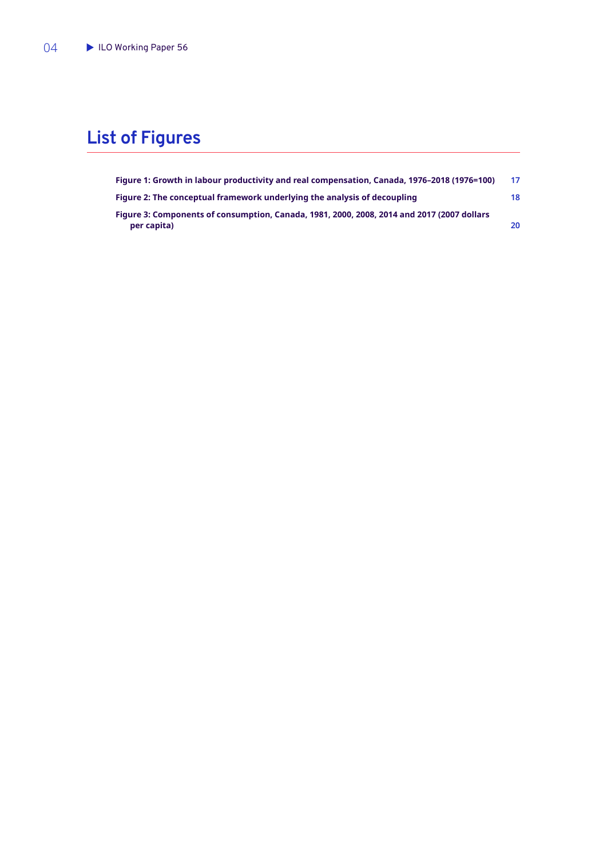## **List of Figures**

| Figure 1: Growth in labour productivity and real compensation, Canada, 1976-2018 (1976=100) | 17 |
|---------------------------------------------------------------------------------------------|----|
| Figure 2: The conceptual framework underlying the analysis of decoupling                    | 18 |
| Figure 3: Components of consumption, Canada, 1981, 2000, 2008, 2014 and 2017 (2007 dollars  |    |
| per capita)                                                                                 | 20 |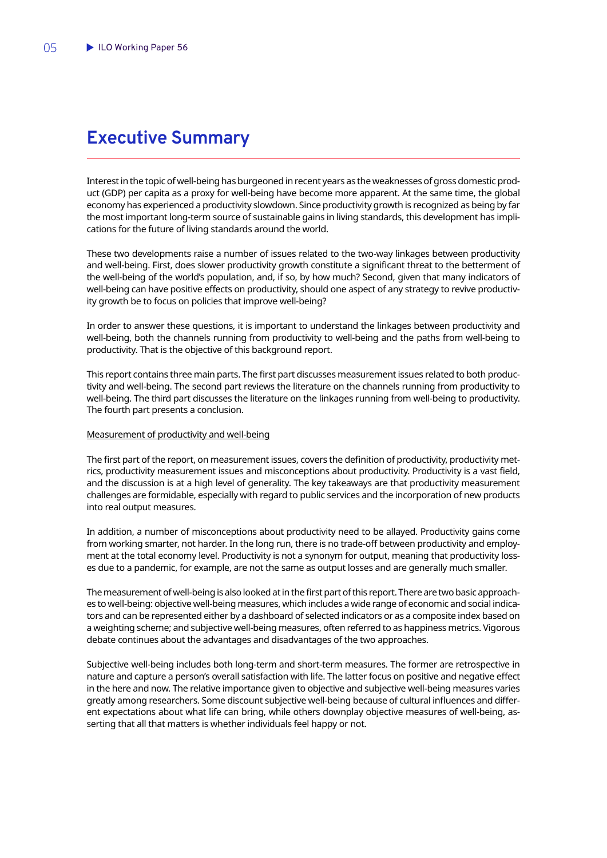## <span id="page-6-0"></span>**Executive Summary**

Interest in the topic of well-being has burgeoned in recent years as the weaknesses of gross domestic product (GDP) per capita as a proxy for well-being have become more apparent. At the same time, the global economy has experienced a productivity slowdown. Since productivity growth is recognized as being by far the most important long-term source of sustainable gains in living standards, this development has implications for the future of living standards around the world.

These two developments raise a number of issues related to the two-way linkages between productivity and well-being. First, does slower productivity growth constitute a significant threat to the betterment of the well-being of the world's population, and, if so, by how much? Second, given that many indicators of well-being can have positive effects on productivity, should one aspect of any strategy to revive productivity growth be to focus on policies that improve well-being?

In order to answer these questions, it is important to understand the linkages between productivity and well-being, both the channels running from productivity to well-being and the paths from well-being to productivity. That is the objective of this background report.

This report contains three main parts. The first part discusses measurement issues related to both productivity and well-being. The second part reviews the literature on the channels running from productivity to well-being. The third part discusses the literature on the linkages running from well-being to productivity. The fourth part presents a conclusion.

### Measurement of productivity and well-being

The first part of the report, on measurement issues, covers the definition of productivity, productivity metrics, productivity measurement issues and misconceptions about productivity. Productivity is a vast field, and the discussion is at a high level of generality. The key takeaways are that productivity measurement challenges are formidable, especially with regard to public services and the incorporation of new products into real output measures.

In addition, a number of misconceptions about productivity need to be allayed. Productivity gains come from working smarter, not harder. In the long run, there is no trade-off between productivity and employment at the total economy level. Productivity is not a synonym for output, meaning that productivity losses due to a pandemic, for example, are not the same as output losses and are generally much smaller.

The measurement of well-being is also looked at in the first part of this report. There are two basic approaches to well-being: objective well-being measures, which includes a wide range of economic and social indicators and can be represented either by a dashboard of selected indicators or as a composite index based on a weighting scheme; and subjective well-being measures, often referred to as happiness metrics. Vigorous debate continues about the advantages and disadvantages of the two approaches.

Subjective well-being includes both long-term and short-term measures. The former are retrospective in nature and capture a person's overall satisfaction with life. The latter focus on positive and negative effect in the here and now. The relative importance given to objective and subjective well-being measures varies greatly among researchers. Some discount subjective well-being because of cultural influences and different expectations about what life can bring, while others downplay objective measures of well-being, asserting that all that matters is whether individuals feel happy or not.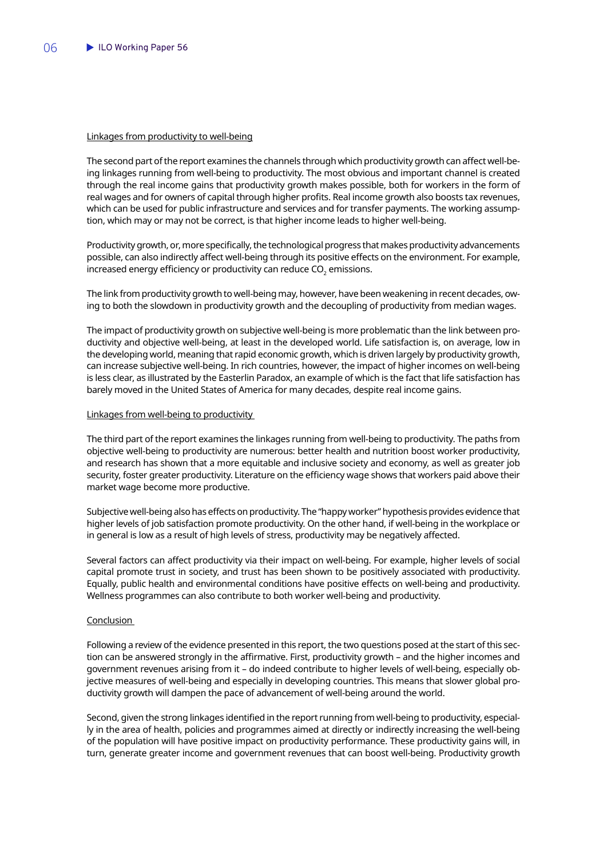### Linkages from productivity to well-being

The second part of the report examines the channels through which productivity growth can affect well-being linkages running from well-being to productivity. The most obvious and important channel is created through the real income gains that productivity growth makes possible, both for workers in the form of real wages and for owners of capital through higher profits. Real income growth also boosts tax revenues, which can be used for public infrastructure and services and for transfer payments. The working assumption, which may or may not be correct, is that higher income leads to higher well-being.

Productivity growth, or, more specifically, the technological progress that makes productivity advancements possible, can also indirectly affect well-being through its positive effects on the environment. For example, increased energy efficiency or productivity can reduce  $\mathsf{CO}_2$  emissions.

The link from productivity growth to well-being may, however, have been weakening in recent decades, owing to both the slowdown in productivity growth and the decoupling of productivity from median wages.

The impact of productivity growth on subjective well-being is more problematic than the link between productivity and objective well-being, at least in the developed world. Life satisfaction is, on average, low in the developing world, meaning that rapid economic growth, which is driven largely by productivity growth, can increase subjective well-being. In rich countries, however, the impact of higher incomes on well-being is less clear, as illustrated by the Easterlin Paradox, an example of which is the fact that life satisfaction has barely moved in the United States of America for many decades, despite real income gains.

### Linkages from well-being to productivity

The third part of the report examines the linkages running from well-being to productivity. The paths from objective well-being to productivity are numerous: better health and nutrition boost worker productivity, and research has shown that a more equitable and inclusive society and economy, as well as greater job security, foster greater productivity. Literature on the efficiency wage shows that workers paid above their market wage become more productive.

Subjective well-being also has effects on productivity. The "happy worker" hypothesis provides evidence that higher levels of job satisfaction promote productivity. On the other hand, if well-being in the workplace or in general is low as a result of high levels of stress, productivity may be negatively affected.

Several factors can affect productivity via their impact on well-being. For example, higher levels of social capital promote trust in society, and trust has been shown to be positively associated with productivity. Equally, public health and environmental conditions have positive effects on well-being and productivity. Wellness programmes can also contribute to both worker well-being and productivity.

### **Conclusion**

Following a review of the evidence presented in this report, the two questions posed at the start of this section can be answered strongly in the affirmative. First, productivity growth – and the higher incomes and government revenues arising from it – do indeed contribute to higher levels of well-being, especially objective measures of well-being and especially in developing countries. This means that slower global productivity growth will dampen the pace of advancement of well-being around the world.

Second, given the strong linkages identified in the report running from well-being to productivity, especially in the area of health, policies and programmes aimed at directly or indirectly increasing the well-being of the population will have positive impact on productivity performance. These productivity gains will, in turn, generate greater income and government revenues that can boost well-being. Productivity growth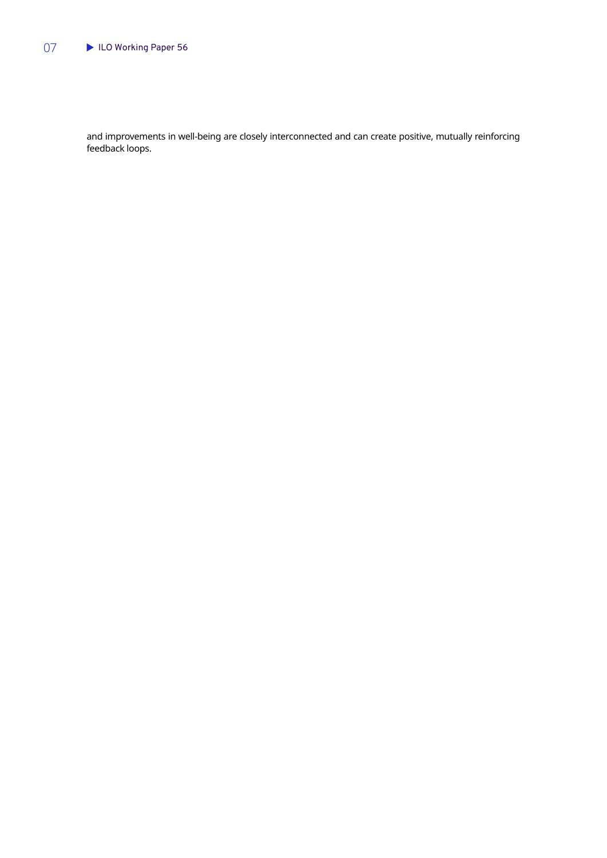### 07 **ILO Working Paper 56**

and improvements in well-being are closely interconnected and can create positive, mutually reinforcing feedback loops.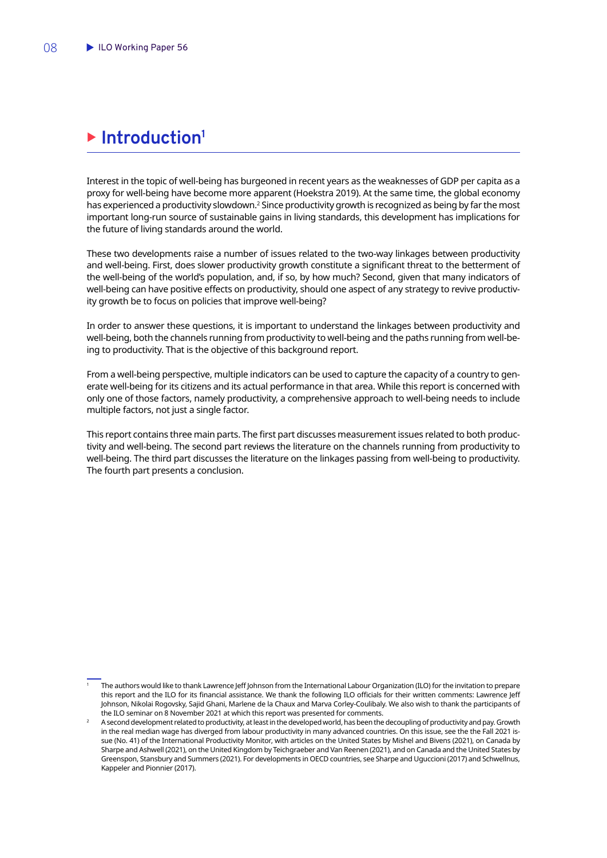## <span id="page-9-0"></span>**Example 1** Introduction<sup>1</sup>

Interest in the topic of well-being has burgeoned in recent years as the weaknesses of GDP per capita as a proxy for well-being have become more apparent (Hoekstra 2019). At the same time, the global economy has experienced a productivity slowdown.<sup>2</sup> Since productivity growth is recognized as being by far the most important long-run source of sustainable gains in living standards, this development has implications for the future of living standards around the world.

These two developments raise a number of issues related to the two-way linkages between productivity and well-being. First, does slower productivity growth constitute a significant threat to the betterment of the well-being of the world's population, and, if so, by how much? Second, given that many indicators of well-being can have positive effects on productivity, should one aspect of any strategy to revive productivity growth be to focus on policies that improve well-being?

In order to answer these questions, it is important to understand the linkages between productivity and well-being, both the channels running from productivity to well-being and the paths running from well-being to productivity. That is the objective of this background report.

From a well-being perspective, multiple indicators can be used to capture the capacity of a country to generate well-being for its citizens and its actual performance in that area. While this report is concerned with only one of those factors, namely productivity, a comprehensive approach to well-being needs to include multiple factors, not just a single factor.

This report contains three main parts. The first part discusses measurement issues related to both productivity and well-being. The second part reviews the literature on the channels running from productivity to well-being. The third part discusses the literature on the linkages passing from well-being to productivity. The fourth part presents a conclusion.

<sup>1</sup> The authors would like to thank Lawrence Jeff Johnson from the International Labour Organization (ILO) for the invitation to prepare this report and the ILO for its financial assistance. We thank the following ILO officials for their written comments: Lawrence Jeff Johnson, Nikolai Rogovsky, Sajid Ghani, Marlene de la Chaux and Marva Corley-Coulibaly. We also wish to thank the participants of the ILO seminar on 8 November 2021 at which this report was presented for comments.

<sup>2</sup> A second development related to productivity, at least in the developed world, has been the decoupling of productivity and pay. Growth in the real median wage has diverged from labour productivity in many advanced countries. On this issue, see the the Fall 2021 issue (No. 41) of the International Productivity Monitor, with articles on the United States by Mishel and Bivens (2021), on Canada by Sharpe and Ashwell (2021), on the United Kingdom by Teichgraeber and Van Reenen (2021), and on Canada and the United States by Greenspon, Stansbury and Summers (2021). For developments in OECD countries, see Sharpe and Uguccioni (2017) and Schwellnus, Kappeler and Pionnier (2017).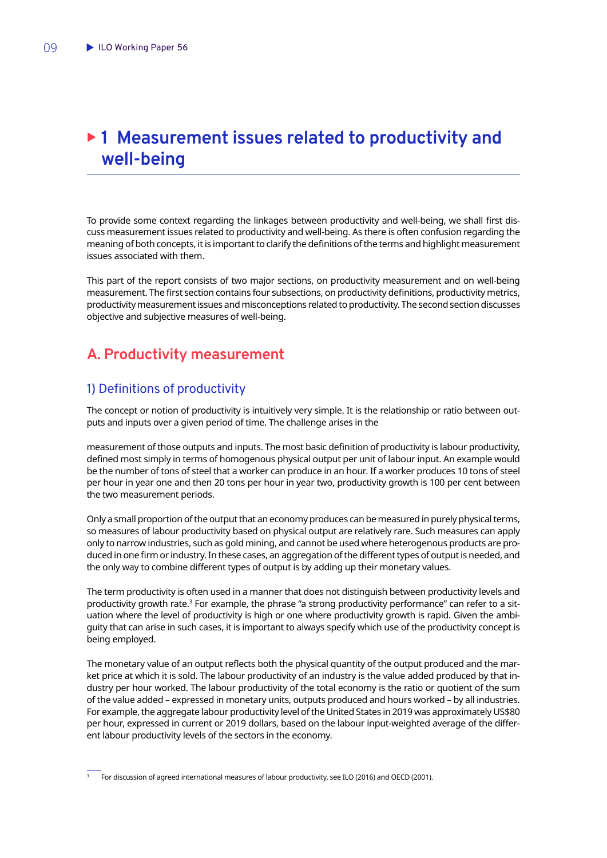## <span id="page-10-0"></span>▶ 1 Measurement issues related to productivity and **well-being**

To provide some context regarding the linkages between productivity and well-being, we shall first discuss measurement issues related to productivity and well-being. As there is often confusion regarding the meaning of both concepts, it is important to clarify the definitions of the terms and highlight measurement issues associated with them.

This part of the report consists of two major sections, on productivity measurement and on well-being measurement. The first section contains four subsections, on productivity definitions, productivity metrics, productivity measurement issues and misconceptions related to productivity. The second section discusses objective and subjective measures of well-being.

## **A. Productivity measurement**

## 1) Definitions of productivity

The concept or notion of productivity is intuitively very simple. It is the relationship or ratio between outputs and inputs over a given period of time. The challenge arises in the

measurement of those outputs and inputs. The most basic definition of productivity is labour productivity, defined most simply in terms of homogenous physical output per unit of labour input. An example would be the number of tons of steel that a worker can produce in an hour. If a worker produces 10 tons of steel per hour in year one and then 20 tons per hour in year two, productivity growth is 100 per cent between the two measurement periods.

Only a small proportion of the output that an economy produces can be measured in purely physical terms, so measures of labour productivity based on physical output are relatively rare. Such measures can apply only to narrow industries, such as gold mining, and cannot be used where heterogenous products are produced in one firm or industry. In these cases, an aggregation of the different types of output is needed, and the only way to combine different types of output is by adding up their monetary values.

The term productivity is often used in a manner that does not distinguish between productivity levels and productivity growth rate.<sup>3</sup> For example, the phrase "a strong productivity performance" can refer to a situation where the level of productivity is high or one where productivity growth is rapid. Given the ambiguity that can arise in such cases, it is important to always specify which use of the productivity concept is being employed.

The monetary value of an output reflects both the physical quantity of the output produced and the market price at which it is sold. The labour productivity of an industry is the value added produced by that industry per hour worked. The labour productivity of the total economy is the ratio or quotient of the sum of the value added – expressed in monetary units, outputs produced and hours worked – by all industries. For example, the aggregate labour productivity level of the United States in 2019 was approximately US\$80 per hour, expressed in current or 2019 dollars, based on the labour input-weighted average of the different labour productivity levels of the sectors in the economy.

<sup>3</sup> For discussion of agreed international measures of labour productivity, see ILO (2016) and OECD (2001).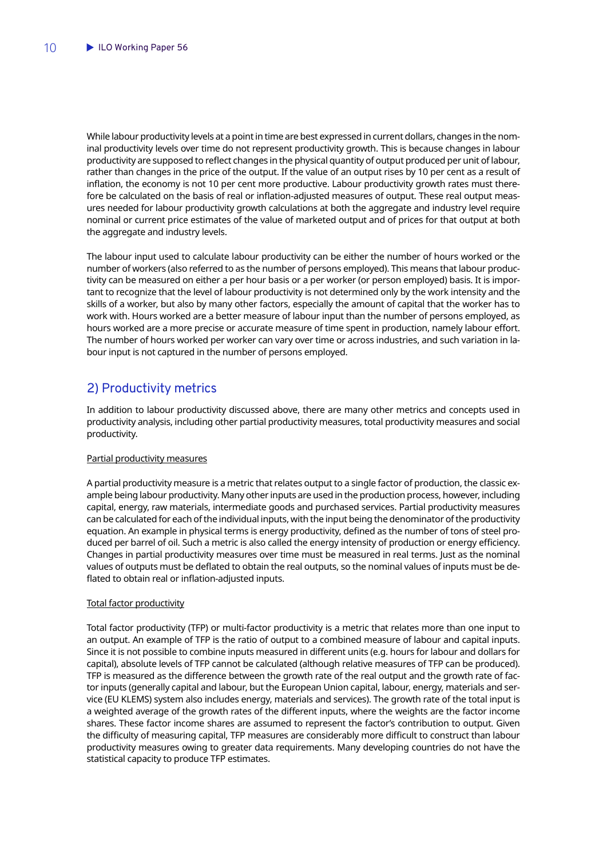<span id="page-11-0"></span>While labour productivity levels at a point in time are best expressed in current dollars, changes in the nominal productivity levels over time do not represent productivity growth. This is because changes in labour productivity are supposed to reflect changes in the physical quantity of output produced per unit of labour, rather than changes in the price of the output. If the value of an output rises by 10 per cent as a result of inflation, the economy is not 10 per cent more productive. Labour productivity growth rates must therefore be calculated on the basis of real or inflation-adjusted measures of output. These real output measures needed for labour productivity growth calculations at both the aggregate and industry level require nominal or current price estimates of the value of marketed output and of prices for that output at both the aggregate and industry levels.

The labour input used to calculate labour productivity can be either the number of hours worked or the number of workers (also referred to as the number of persons employed). This means that labour productivity can be measured on either a per hour basis or a per worker (or person employed) basis. It is important to recognize that the level of labour productivity is not determined only by the work intensity and the skills of a worker, but also by many other factors, especially the amount of capital that the worker has to work with. Hours worked are a better measure of labour input than the number of persons employed, as hours worked are a more precise or accurate measure of time spent in production, namely labour effort. The number of hours worked per worker can vary over time or across industries, and such variation in labour input is not captured in the number of persons employed.

## 2) Productivity metrics

In addition to labour productivity discussed above, there are many other metrics and concepts used in productivity analysis, including other partial productivity measures, total productivity measures and social productivity.

### Partial productivity measures

A partial productivity measure is a metric that relates output to a single factor of production, the classic example being labour productivity. Many other inputs are used in the production process, however, including capital, energy, raw materials, intermediate goods and purchased services. Partial productivity measures can be calculated for each of the individual inputs, with the input being the denominator of the productivity equation. An example in physical terms is energy productivity, defined as the number of tons of steel produced per barrel of oil. Such a metric is also called the energy intensity of production or energy efficiency. Changes in partial productivity measures over time must be measured in real terms. Just as the nominal values of outputs must be deflated to obtain the real outputs, so the nominal values of inputs must be deflated to obtain real or inflation-adjusted inputs.

### Total factor productivity

Total factor productivity (TFP) or multi-factor productivity is a metric that relates more than one input to an output. An example of TFP is the ratio of output to a combined measure of labour and capital inputs. Since it is not possible to combine inputs measured in different units (e.g. hours for labour and dollars for capital), absolute levels of TFP cannot be calculated (although relative measures of TFP can be produced). TFP is measured as the difference between the growth rate of the real output and the growth rate of factor inputs (generally capital and labour, but the European Union capital, labour, energy, materials and service (EU KLEMS) system also includes energy, materials and services). The growth rate of the total input is a weighted average of the growth rates of the different inputs, where the weights are the factor income shares. These factor income shares are assumed to represent the factor's contribution to output. Given the difficulty of measuring capital, TFP measures are considerably more difficult to construct than labour productivity measures owing to greater data requirements. Many developing countries do not have the statistical capacity to produce TFP estimates.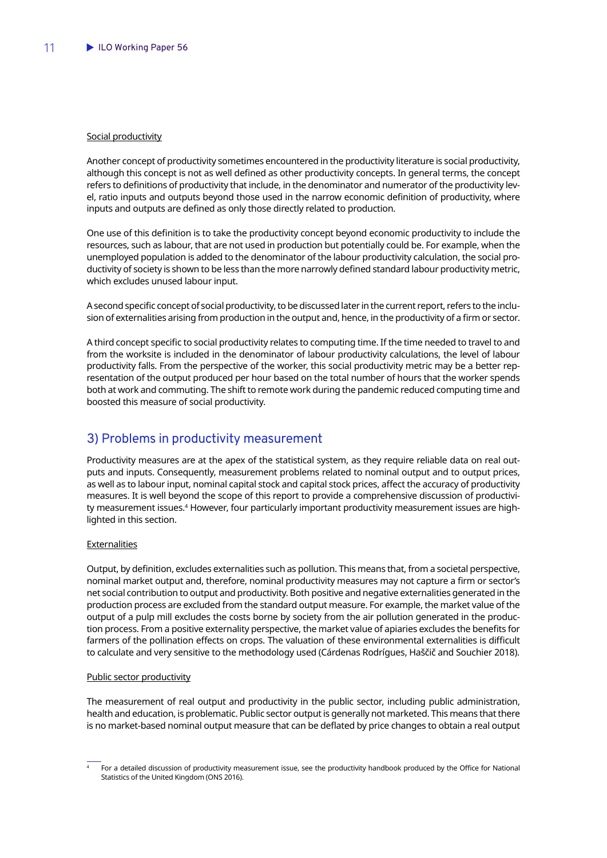### <span id="page-12-0"></span>Social productivity

Another concept of productivity sometimes encountered in the productivity literature is social productivity, although this concept is not as well defined as other productivity concepts. In general terms, the concept refers to definitions of productivity that include, in the denominator and numerator of the productivity level, ratio inputs and outputs beyond those used in the narrow economic definition of productivity, where inputs and outputs are defined as only those directly related to production.

One use of this definition is to take the productivity concept beyond economic productivity to include the resources, such as labour, that are not used in production but potentially could be. For example, when the unemployed population is added to the denominator of the labour productivity calculation, the social productivity of society is shown to be less than the more narrowly defined standard labour productivity metric, which excludes unused labour input.

A second specific concept of social productivity, to be discussed later in the current report, refers to the inclusion of externalities arising from production in the output and, hence, in the productivity of a firm or sector.

A third concept specific to social productivity relates to computing time. If the time needed to travel to and from the worksite is included in the denominator of labour productivity calculations, the level of labour productivity falls. From the perspective of the worker, this social productivity metric may be a better representation of the output produced per hour based on the total number of hours that the worker spends both at work and commuting. The shift to remote work during the pandemic reduced computing time and boosted this measure of social productivity.

### 3) Problems in productivity measurement

Productivity measures are at the apex of the statistical system, as they require reliable data on real outputs and inputs. Consequently, measurement problems related to nominal output and to output prices, as well as to labour input, nominal capital stock and capital stock prices, affect the accuracy of productivity measures. It is well beyond the scope of this report to provide a comprehensive discussion of productivity measurement issues.<sup>4</sup> However, four particularly important productivity measurement issues are highlighted in this section.

#### Externalities

Output, by definition, excludes externalities such as pollution. This means that, from a societal perspective, nominal market output and, therefore, nominal productivity measures may not capture a firm or sector's net social contribution to output and productivity. Both positive and negative externalities generated in the production process are excluded from the standard output measure. For example, the market value of the output of a pulp mill excludes the costs borne by society from the air pollution generated in the production process. From a positive externality perspective, the market value of apiaries excludes the benefits for farmers of the pollination effects on crops. The valuation of these environmental externalities is difficult to calculate and very sensitive to the methodology used (Cárdenas Rodrígues, Haščič and Souchier 2018).

#### Public sector productivity

The measurement of real output and productivity in the public sector, including public administration, health and education, is problematic. Public sector output is generally not marketed. This means that there is no market-based nominal output measure that can be deflated by price changes to obtain a real output

<sup>4</sup> For a detailed discussion of productivity measurement issue, see the productivity handbook produced by the Office for National Statistics of the United Kingdom (ONS 2016).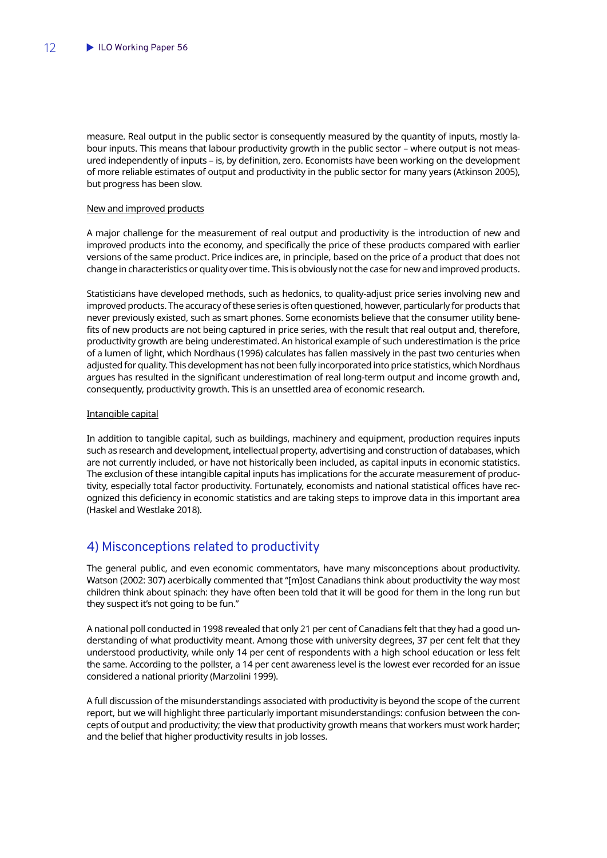<span id="page-13-0"></span>measure. Real output in the public sector is consequently measured by the quantity of inputs, mostly labour inputs. This means that labour productivity growth in the public sector – where output is not measured independently of inputs – is, by definition, zero. Economists have been working on the development of more reliable estimates of output and productivity in the public sector for many years (Atkinson 2005), but progress has been slow.

### New and improved products

A major challenge for the measurement of real output and productivity is the introduction of new and improved products into the economy, and specifically the price of these products compared with earlier versions of the same product. Price indices are, in principle, based on the price of a product that does not change in characteristics or quality over time. This is obviously not the case for new and improved products.

Statisticians have developed methods, such as hedonics, to quality-adjust price series involving new and improved products. The accuracy of these series is often questioned, however, particularly for products that never previously existed, such as smart phones. Some economists believe that the consumer utility benefits of new products are not being captured in price series, with the result that real output and, therefore, productivity growth are being underestimated. An historical example of such underestimation is the price of a lumen of light, which Nordhaus (1996) calculates has fallen massively in the past two centuries when adjusted for quality. This development has not been fully incorporated into price statistics, which Nordhaus argues has resulted in the significant underestimation of real long-term output and income growth and, consequently, productivity growth. This is an unsettled area of economic research.

### Intangible capital

In addition to tangible capital, such as buildings, machinery and equipment, production requires inputs such as research and development, intellectual property, advertising and construction of databases, which are not currently included, or have not historically been included, as capital inputs in economic statistics. The exclusion of these intangible capital inputs has implications for the accurate measurement of productivity, especially total factor productivity. Fortunately, economists and national statistical offices have recognized this deficiency in economic statistics and are taking steps to improve data in this important area (Haskel and Westlake 2018).

### 4) Misconceptions related to productivity

The general public, and even economic commentators, have many misconceptions about productivity. Watson (2002: 307) acerbically commented that "[m]ost Canadians think about productivity the way most children think about spinach: they have often been told that it will be good for them in the long run but they suspect it's not going to be fun."

A national poll conducted in 1998 revealed that only 21 per cent of Canadians felt that they had a good understanding of what productivity meant. Among those with university degrees, 37 per cent felt that they understood productivity, while only 14 per cent of respondents with a high school education or less felt the same. According to the pollster, a 14 per cent awareness level is the lowest ever recorded for an issue considered a national priority (Marzolini 1999).

A full discussion of the misunderstandings associated with productivity is beyond the scope of the current report, but we will highlight three particularly important misunderstandings: confusion between the concepts of output and productivity; the view that productivity growth means that workers must work harder; and the belief that higher productivity results in job losses.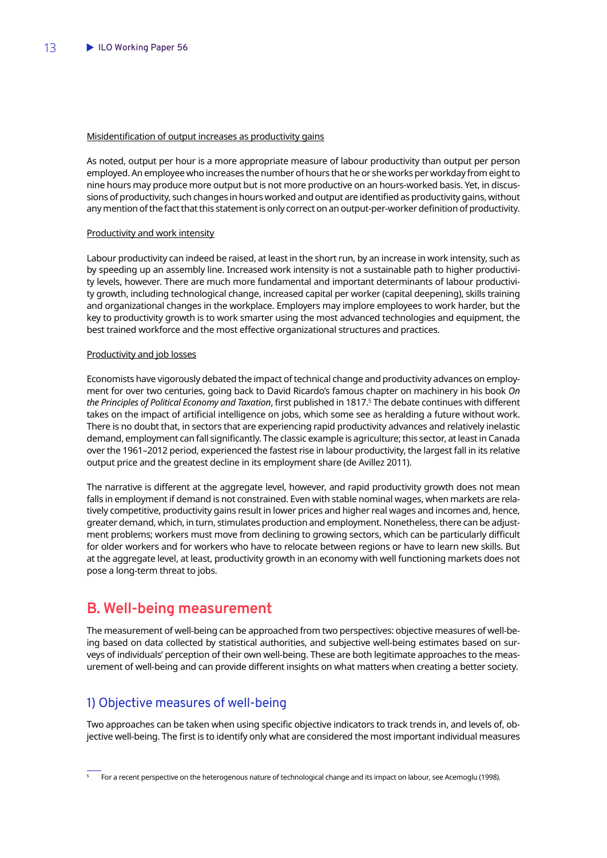### <span id="page-14-0"></span>Misidentification of output increases as productivity gains

As noted, output per hour is a more appropriate measure of labour productivity than output per person employed. An employee who increases the number of hours that he or she works per workday from eight to nine hours may produce more output but is not more productive on an hours-worked basis. Yet, in discussions of productivity, such changes in hours worked and output are identified as productivity gains, without any mention of the fact that this statement is only correct on an output-per-worker definition of productivity.

#### Productivity and work intensity

Labour productivity can indeed be raised, at least in the short run, by an increase in work intensity, such as by speeding up an assembly line. Increased work intensity is not a sustainable path to higher productivity levels, however. There are much more fundamental and important determinants of labour productivity growth, including technological change, increased capital per worker (capital deepening), skills training and organizational changes in the workplace. Employers may implore employees to work harder, but the key to productivity growth is to work smarter using the most advanced technologies and equipment, the best trained workforce and the most effective organizational structures and practices.

### Productivity and job losses

Economists have vigorously debated the impact of technical change and productivity advances on employment for over two centuries, going back to David Ricardo's famous chapter on machinery in his book *On the Principles of Political Economy and Taxation*, first published in 1817.5 The debate continues with different takes on the impact of artificial intelligence on jobs, which some see as heralding a future without work. There is no doubt that, in sectors that are experiencing rapid productivity advances and relatively inelastic demand, employment can fall significantly. The classic example is agriculture; this sector, at least in Canada over the 1961–2012 period, experienced the fastest rise in labour productivity, the largest fall in its relative output price and the greatest decline in its employment share (de Avillez 2011).

The narrative is different at the aggregate level, however, and rapid productivity growth does not mean falls in employment if demand is not constrained. Even with stable nominal wages, when markets are relatively competitive, productivity gains result in lower prices and higher real wages and incomes and, hence, greater demand, which, in turn, stimulates production and employment. Nonetheless, there can be adjustment problems; workers must move from declining to growing sectors, which can be particularly difficult for older workers and for workers who have to relocate between regions or have to learn new skills. But at the aggregate level, at least, productivity growth in an economy with well functioning markets does not pose a long-term threat to jobs.

## **B. Well-being measurement**

The measurement of well-being can be approached from two perspectives: objective measures of well-being based on data collected by statistical authorities, and subjective well-being estimates based on surveys of individuals' perception of their own well-being. These are both legitimate approaches to the measurement of well-being and can provide different insights on what matters when creating a better society.

### 1) Objective measures of well-being

Two approaches can be taken when using specific objective indicators to track trends in, and levels of, objective well-being. The first is to identify only what are considered the most important individual measures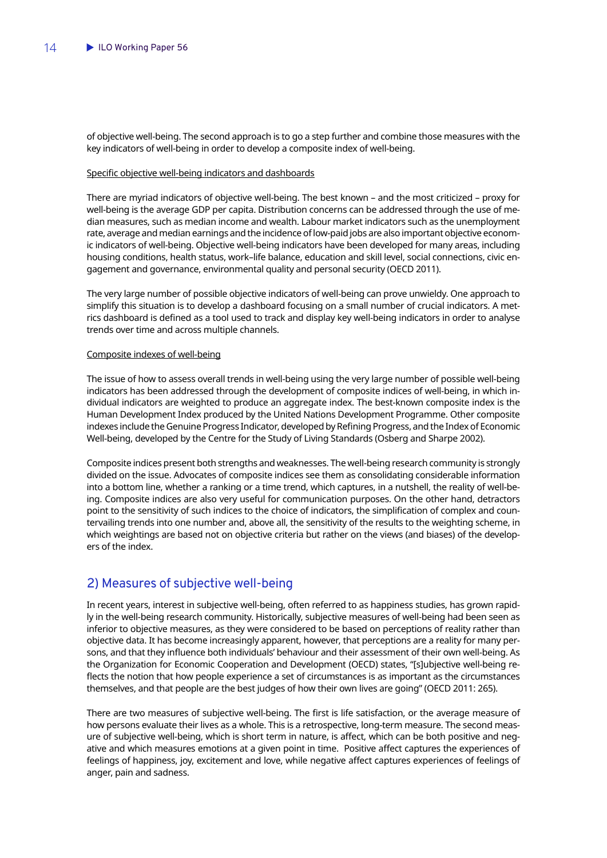<span id="page-15-0"></span>of objective well-being. The second approach is to go a step further and combine those measures with the key indicators of well-being in order to develop a composite index of well-being.

### Specific objective well-being indicators and dashboards

There are myriad indicators of objective well-being. The best known – and the most criticized – proxy for well-being is the average GDP per capita. Distribution concerns can be addressed through the use of median measures, such as median income and wealth. Labour market indicators such as the unemployment rate, average and median earnings and the incidence of low-paid jobs are also important objective economic indicators of well-being. Objective well-being indicators have been developed for many areas, including housing conditions, health status, work–life balance, education and skill level, social connections, civic engagement and governance, environmental quality and personal security (OECD 2011).

The very large number of possible objective indicators of well-being can prove unwieldy. One approach to simplify this situation is to develop a dashboard focusing on a small number of crucial indicators. A metrics dashboard is defined as a tool used to track and display key well-being indicators in order to analyse trends over time and across multiple channels.

#### Composite indexes of well-being

The issue of how to assess overall trends in well-being using the very large number of possible well-being indicators has been addressed through the development of composite indices of well-being, in which individual indicators are weighted to produce an aggregate index. The best-known composite index is the Human Development Index produced by the United Nations Development Programme. Other composite indexes include the Genuine Progress Indicator, developed by Refining Progress, and the Index of Economic Well-being, developed by the Centre for the Study of Living Standards (Osberg and Sharpe 2002).

Composite indices present both strengths and weaknesses. The well-being research community is strongly divided on the issue. Advocates of composite indices see them as consolidating considerable information into a bottom line, whether a ranking or a time trend, which captures, in a nutshell, the reality of well-being. Composite indices are also very useful for communication purposes. On the other hand, detractors point to the sensitivity of such indices to the choice of indicators, the simplification of complex and countervailing trends into one number and, above all, the sensitivity of the results to the weighting scheme, in which weightings are based not on objective criteria but rather on the views (and biases) of the developers of the index.

### 2) Measures of subjective well-being

In recent years, interest in subjective well-being, often referred to as happiness studies, has grown rapidly in the well-being research community. Historically, subjective measures of well-being had been seen as inferior to objective measures, as they were considered to be based on perceptions of reality rather than objective data. It has become increasingly apparent, however, that perceptions are a reality for many persons, and that they influence both individuals' behaviour and their assessment of their own well-being. As the Organization for Economic Cooperation and Development (OECD) states, "[s]ubjective well-being reflects the notion that how people experience a set of circumstances is as important as the circumstances themselves, and that people are the best judges of how their own lives are going" (OECD 2011: 265).

There are two measures of subjective well-being. The first is life satisfaction, or the average measure of how persons evaluate their lives as a whole. This is a retrospective, long-term measure. The second measure of subjective well-being, which is short term in nature, is affect, which can be both positive and negative and which measures emotions at a given point in time. Positive affect captures the experiences of feelings of happiness, joy, excitement and love, while negative affect captures experiences of feelings of anger, pain and sadness.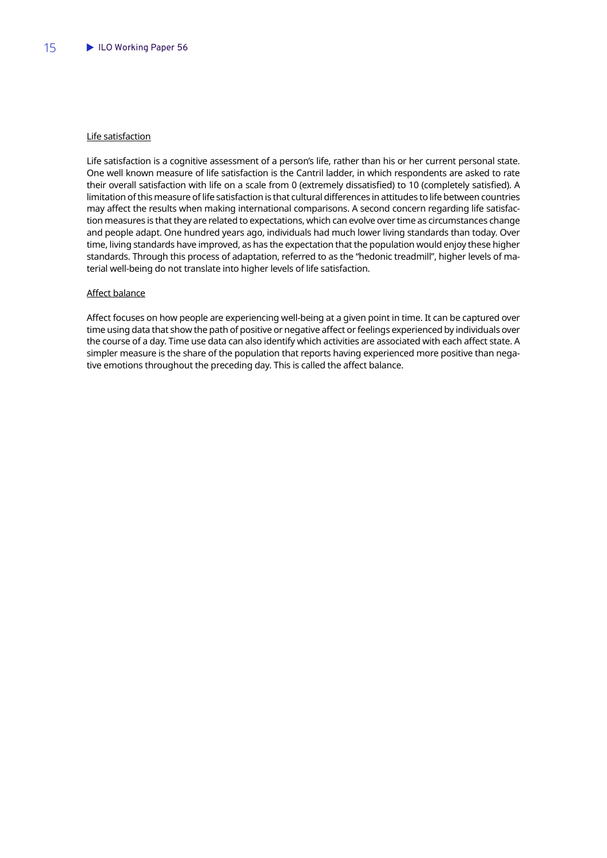### Life satisfaction

Life satisfaction is a cognitive assessment of a person's life, rather than his or her current personal state. One well known measure of life satisfaction is the Cantril ladder, in which respondents are asked to rate their overall satisfaction with life on a scale from 0 (extremely dissatisfied) to 10 (completely satisfied). A limitation of this measure of life satisfaction is that cultural differences in attitudes to life between countries may affect the results when making international comparisons. A second concern regarding life satisfaction measures is that they are related to expectations, which can evolve over time as circumstances change and people adapt. One hundred years ago, individuals had much lower living standards than today. Over time, living standards have improved, as has the expectation that the population would enjoy these higher standards. Through this process of adaptation, referred to as the "hedonic treadmill", higher levels of material well-being do not translate into higher levels of life satisfaction.

### Affect balance

Affect focuses on how people are experiencing well-being at a given point in time. It can be captured over time using data that show the path of positive or negative affect or feelings experienced by individuals over the course of a day. Time use data can also identify which activities are associated with each affect state. A simpler measure is the share of the population that reports having experienced more positive than negative emotions throughout the preceding day. This is called the affect balance.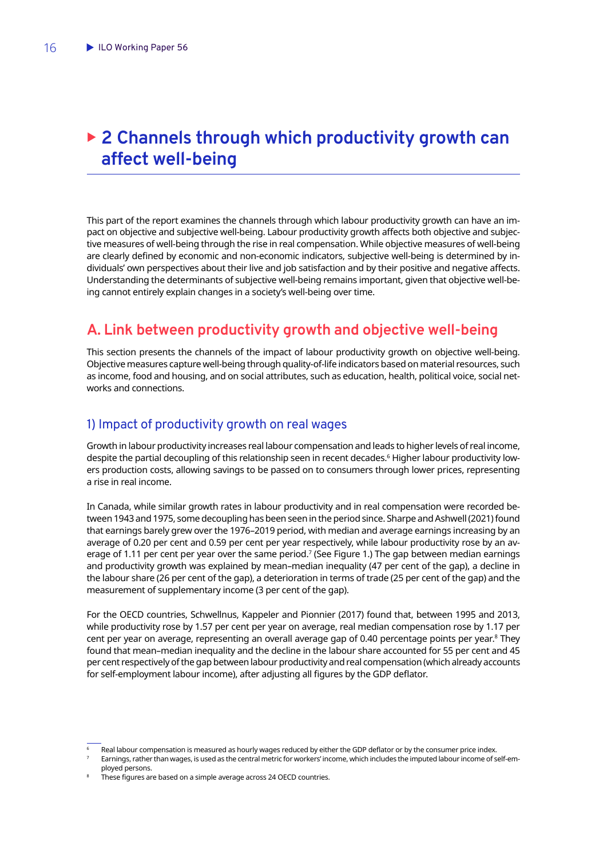## <span id="page-17-0"></span>▶ 2 Channels through which productivity growth can **affect well-being**

This part of the report examines the channels through which labour productivity growth can have an impact on objective and subjective well-being. Labour productivity growth affects both objective and subjective measures of well-being through the rise in real compensation. While objective measures of well-being are clearly defined by economic and non-economic indicators, subjective well-being is determined by individuals' own perspectives about their live and job satisfaction and by their positive and negative affects. Understanding the determinants of subjective well-being remains important, given that objective well-being cannot entirely explain changes in a society's well-being over time.

## **A. Link between productivity growth and objective well-being**

This section presents the channels of the impact of labour productivity growth on objective well-being. Objective measures capture well-being through quality-of-life indicators based on material resources, such as income, food and housing, and on social attributes, such as education, health, political voice, social networks and connections.

## 1) Impact of productivity growth on real wages

Growth in labour productivity increases real labour compensation and leads to higher levels of real income, despite the partial decoupling of this relationship seen in recent decades.6 Higher labour productivity lowers production costs, allowing savings to be passed on to consumers through lower prices, representing a rise in real income.

In Canada, while similar growth rates in labour productivity and in real compensation were recorded between 1943 and 1975, some decoupling has been seen in the period since. Sharpe and Ashwell (2021) found that earnings barely grew over the 1976–2019 period, with median and average earnings increasing by an average of 0.20 per cent and 0.59 per cent per year respectively, while labour productivity rose by an average of 1.11 per cent per year over the same period.<sup>7</sup> (See Figure 1.) The gap between median earnings and productivity growth was explained by mean–median inequality (47 per cent of the gap), a decline in the labour share (26 per cent of the gap), a deterioration in terms of trade (25 per cent of the gap) and the measurement of supplementary income (3 per cent of the gap).

For the OECD countries, Schwellnus, Kappeler and Pionnier (2017) found that, between 1995 and 2013, while productivity rose by 1.57 per cent per year on average, real median compensation rose by 1.17 per cent per year on average, representing an overall average gap of 0.40 percentage points per year.<sup>8</sup> They found that mean–median inequality and the decline in the labour share accounted for 55 per cent and 45 per cent respectively of the gap between labour productivity and real compensation (which already accounts for self-employment labour income), after adjusting all figures by the GDP deflator.

Real labour compensation is measured as hourly wages reduced by either the GDP deflator or by the consumer price index.

<sup>7</sup> Earnings, rather than wages, is used as the central metric for workers' income, which includes the imputed labour income of self-em-

ployed persons.<br>These figures are based on a simple average across 24 OECD countries.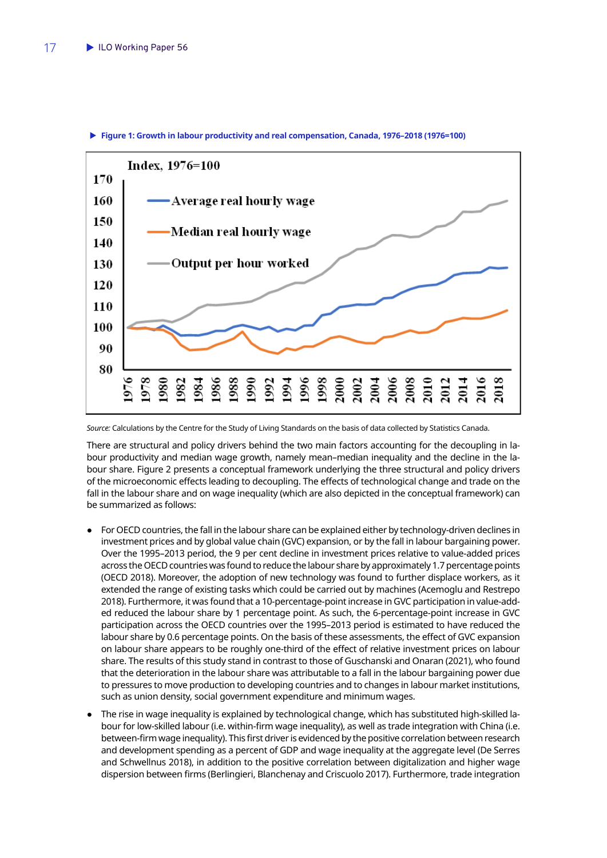

#### <span id="page-18-0"></span>▶ Figure 1: Growth in labour productivity and real compensation, Canada, 1976–2018 (1976=100)

*Source:* Calculations by the Centre for the Study of Living Standards on the basis of data collected by Statistics Canada.

There are structural and policy drivers behind the two main factors accounting for the decoupling in labour productivity and median wage growth, namely mean–median inequality and the decline in the labour share. Figure 2 presents a conceptual framework underlying the three structural and policy drivers of the microeconomic effects leading to decoupling. The effects of technological change and trade on the fall in the labour share and on wage inequality (which are also depicted in the conceptual framework) can be summarized as follows:

- For OECD countries, the fall in the labour share can be explained either by technology-driven declines in investment prices and by global value chain (GVC) expansion, or by the fall in labour bargaining power. Over the 1995–2013 period, the 9 per cent decline in investment prices relative to value-added prices across the OECD countries was found to reduce the labour share by approximately 1.7 percentage points (OECD 2018). Moreover, the adoption of new technology was found to further displace workers, as it extended the range of existing tasks which could be carried out by machines (Acemoglu and Restrepo 2018). Furthermore, it was found that a 10-percentage-point increase in GVC participation in value-added reduced the labour share by 1 percentage point. As such, the 6-percentage-point increase in GVC participation across the OECD countries over the 1995–2013 period is estimated to have reduced the labour share by 0.6 percentage points. On the basis of these assessments, the effect of GVC expansion on labour share appears to be roughly one-third of the effect of relative investment prices on labour share. The results of this study stand in contrast to those of Guschanski and Onaran (2021), who found that the deterioration in the labour share was attributable to a fall in the labour bargaining power due to pressures to move production to developing countries and to changes in labour market institutions, such as union density, social government expenditure and minimum wages.
- The rise in wage inequality is explained by technological change, which has substituted high-skilled labour for low-skilled labour (i.e. within-firm wage inequality), as well as trade integration with China (i.e. between-firm wage inequality). This first driver is evidenced by the positive correlation between research and development spending as a percent of GDP and wage inequality at the aggregate level (De Serres and Schwellnus 2018), in addition to the positive correlation between digitalization and higher wage dispersion between firms (Berlingieri, Blanchenay and Criscuolo 2017). Furthermore, trade integration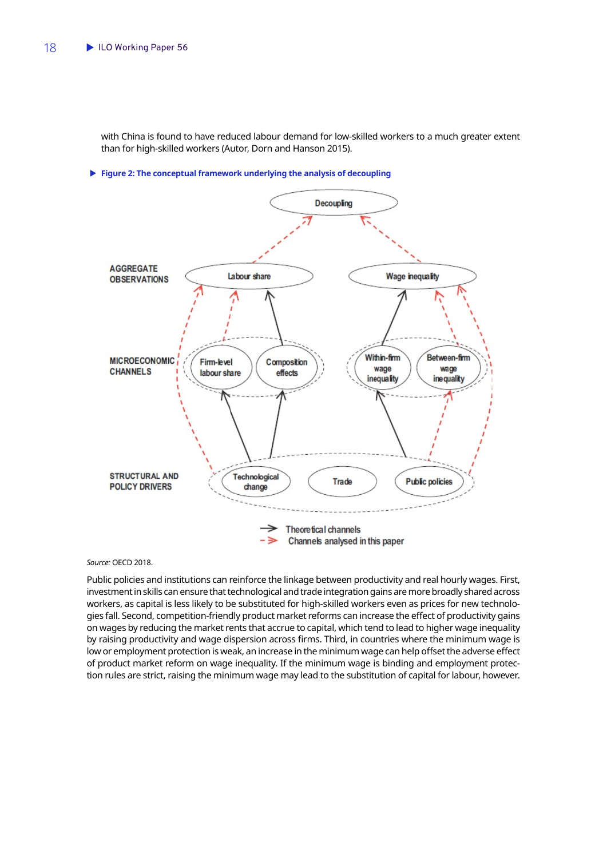<span id="page-19-0"></span>with China is found to have reduced labour demand for low-skilled workers to a much greater extent than for high-skilled workers (Autor, Dorn and Hanson 2015).

**Figure 2: The conceptual framework underlying the analysis of decoupling** 



*Source:* OECD 2018.

Public policies and institutions can reinforce the linkage between productivity and real hourly wages. First, investment in skills can ensure that technological and trade integration gains are more broadly shared across workers, as capital is less likely to be substituted for high-skilled workers even as prices for new technologies fall. Second, competition-friendly product market reforms can increase the effect of productivity gains on wages by reducing the market rents that accrue to capital, which tend to lead to higher wage inequality by raising productivity and wage dispersion across firms. Third, in countries where the minimum wage is low or employment protection is weak, an increase in the minimum wage can help offset the adverse effect of product market reform on wage inequality. If the minimum wage is binding and employment protection rules are strict, raising the minimum wage may lead to the substitution of capital for labour, however.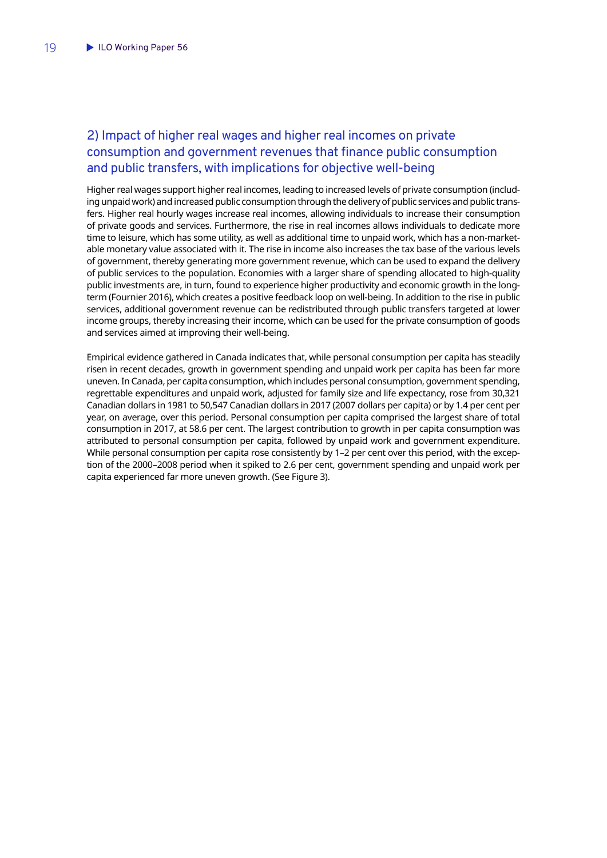## <span id="page-20-0"></span>2) Impact of higher real wages and higher real incomes on private consumption and government revenues that finance public consumption and public transfers, with implications for objective well-being

Higher real wages support higher real incomes, leading to increased levels of private consumption (including unpaid work) and increased public consumption through the delivery of public services and public transfers. Higher real hourly wages increase real incomes, allowing individuals to increase their consumption of private goods and services. Furthermore, the rise in real incomes allows individuals to dedicate more time to leisure, which has some utility, as well as additional time to unpaid work, which has a non-marketable monetary value associated with it. The rise in income also increases the tax base of the various levels of government, thereby generating more government revenue, which can be used to expand the delivery of public services to the population. Economies with a larger share of spending allocated to high-quality public investments are, in turn, found to experience higher productivity and economic growth in the longterm (Fournier 2016), which creates a positive feedback loop on well-being. In addition to the rise in public services, additional government revenue can be redistributed through public transfers targeted at lower income groups, thereby increasing their income, which can be used for the private consumption of goods and services aimed at improving their well-being.

Empirical evidence gathered in Canada indicates that, while personal consumption per capita has steadily risen in recent decades, growth in government spending and unpaid work per capita has been far more uneven. In Canada, per capita consumption, which includes personal consumption, government spending, regrettable expenditures and unpaid work, adjusted for family size and life expectancy, rose from 30,321 Canadian dollars in 1981 to 50,547 Canadian dollars in 2017 (2007 dollars per capita) or by 1.4 per cent per year, on average, over this period. Personal consumption per capita comprised the largest share of total consumption in 2017, at 58.6 per cent. The largest contribution to growth in per capita consumption was attributed to personal consumption per capita, followed by unpaid work and government expenditure. While personal consumption per capita rose consistently by 1-2 per cent over this period, with the exception of the 2000–2008 period when it spiked to 2.6 per cent, government spending and unpaid work per capita experienced far more uneven growth. (See Figure 3).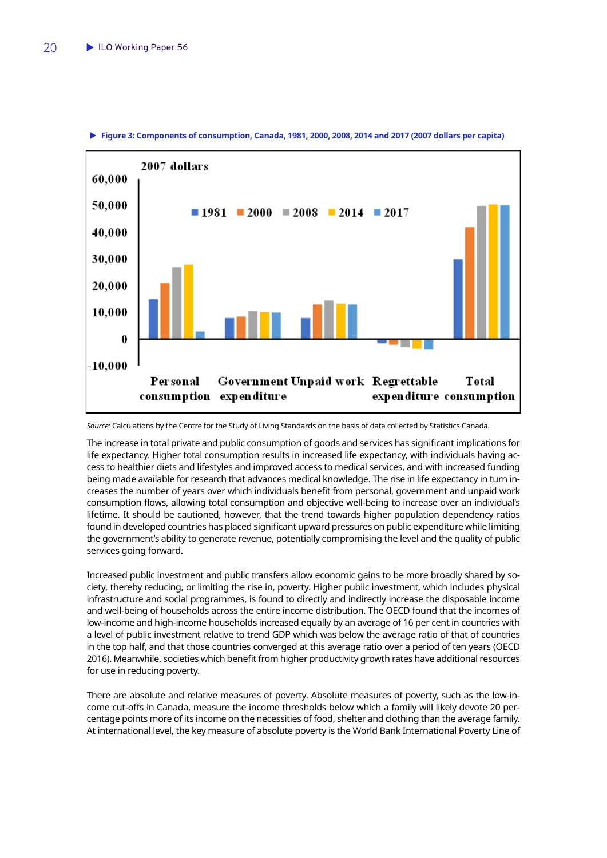

<span id="page-21-0"></span>▶ Figure 3: Components of consumption, Canada, 1981, 2000, 2008, 2014 and 2017 (2007 dollars per capita)

*Source:* Calculations by the Centre for the Study of Living Standards on the basis of data collected by Statistics Canada.

The increase in total private and public consumption of goods and services has significant implications for life expectancy. Higher total consumption results in increased life expectancy, with individuals having access to healthier diets and lifestyles and improved access to medical services, and with increased funding being made available for research that advances medical knowledge. The rise in life expectancy in turn increases the number of years over which individuals benefit from personal, government and unpaid work consumption flows, allowing total consumption and objective well-being to increase over an individual's lifetime. It should be cautioned, however, that the trend towards higher population dependency ratios found in developed countries has placed significant upward pressures on public expenditure while limiting the government's ability to generate revenue, potentially compromising the level and the quality of public services going forward.

Increased public investment and public transfers allow economic gains to be more broadly shared by society, thereby reducing, or limiting the rise in, poverty. Higher public investment, which includes physical infrastructure and social programmes, is found to directly and indirectly increase the disposable income and well-being of households across the entire income distribution. The OECD found that the incomes of low-income and high-income households increased equally by an average of 16 per cent in countries with a level of public investment relative to trend GDP which was below the average ratio of that of countries in the top half, and that those countries converged at this average ratio over a period of ten years (OECD 2016). Meanwhile, societies which benefit from higher productivity growth rates have additional resources for use in reducing poverty.

There are absolute and relative measures of poverty. Absolute measures of poverty, such as the low-income cut-offs in Canada, measure the income thresholds below which a family will likely devote 20 percentage points more of its income on the necessities of food, shelter and clothing than the average family. At international level, the key measure of absolute poverty is the World Bank International Poverty Line of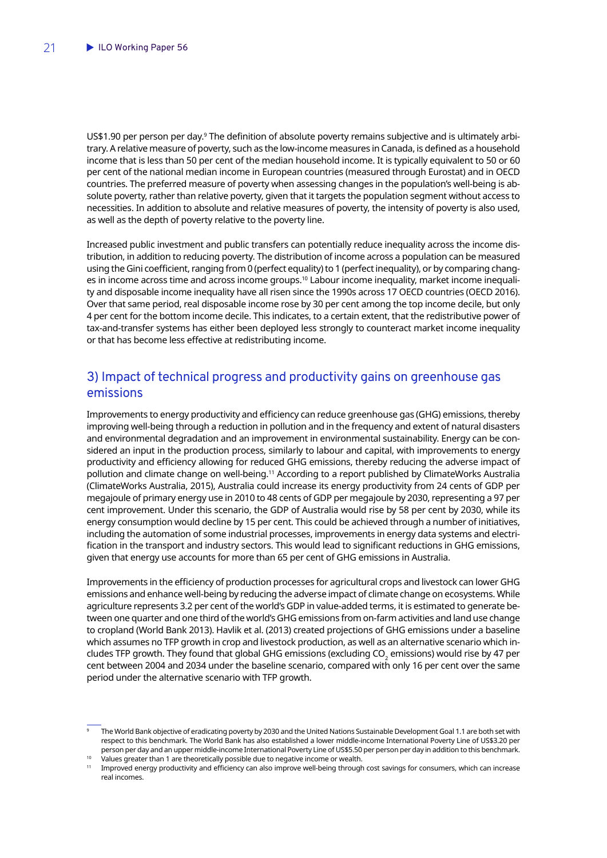<span id="page-22-0"></span>US\$1.90 per person per day.<sup>9</sup> The definition of absolute poverty remains subjective and is ultimately arbitrary. A relative measure of poverty, such as the low-income measures in Canada, is defined as a household income that is less than 50 per cent of the median household income. It is typically equivalent to 50 or 60 per cent of the national median income in European countries (measured through Eurostat) and in OECD countries. The preferred measure of poverty when assessing changes in the population's well-being is absolute poverty, rather than relative poverty, given that it targets the population segment without access to necessities. In addition to absolute and relative measures of poverty, the intensity of poverty is also used, as well as the depth of poverty relative to the poverty line.

Increased public investment and public transfers can potentially reduce inequality across the income distribution, in addition to reducing poverty. The distribution of income across a population can be measured using the Gini coefficient, ranging from 0 (perfect equality) to 1 (perfect inequality), or by comparing changes in income across time and across income groups.10 Labour income inequality, market income inequality and disposable income inequality have all risen since the 1990s across 17 OECD countries (OECD 2016). Over that same period, real disposable income rose by 30 per cent among the top income decile, but only 4 per cent for the bottom income decile. This indicates, to a certain extent, that the redistributive power of tax-and-transfer systems has either been deployed less strongly to counteract market income inequality or that has become less effective at redistributing income.

## 3) Impact of technical progress and productivity gains on greenhouse gas emissions

Improvements to energy productivity and efficiency can reduce greenhouse gas (GHG) emissions, thereby improving well-being through a reduction in pollution and in the frequency and extent of natural disasters and environmental degradation and an improvement in environmental sustainability. Energy can be considered an input in the production process, similarly to labour and capital, with improvements to energy productivity and efficiency allowing for reduced GHG emissions, thereby reducing the adverse impact of pollution and climate change on well-being.11 According to a report published by ClimateWorks Australia (ClimateWorks Australia, 2015), Australia could increase its energy productivity from 24 cents of GDP per megajoule of primary energy use in 2010 to 48 cents of GDP per megajoule by 2030, representing a 97 per cent improvement. Under this scenario, the GDP of Australia would rise by 58 per cent by 2030, while its energy consumption would decline by 15 per cent. This could be achieved through a number of initiatives, including the automation of some industrial processes, improvements in energy data systems and electrification in the transport and industry sectors. This would lead to significant reductions in GHG emissions, given that energy use accounts for more than 65 per cent of GHG emissions in Australia.

Improvements in the efficiency of production processes for agricultural crops and livestock can lower GHG emissions and enhance well-being by reducing the adverse impact of climate change on ecosystems. While agriculture represents 3.2 per cent of the world's GDP in value-added terms, it is estimated to generate between one quarter and one third of the world's GHG emissions from on-farm activities and land use change to cropland (World Bank 2013). Havlik et al. (2013) created projections of GHG emissions under a baseline which assumes no TFP growth in crop and livestock production, as well as an alternative scenario which includes TFP growth. They found that global GHG emissions (excluding CO $_{\rm 2}$  emissions) would rise by 47 per cent between 2004 and 2034 under the baseline scenario, compared with only 16 per cent over the same period under the alternative scenario with TFP growth.

<sup>9</sup> The World Bank objective of eradicating poverty by 2030 and the United Nations Sustainable Development Goal 1.1 are both set with respect to this benchmark. The World Bank has also established a lower middle-income International Poverty Line of US\$3.20 per

<sup>.&</sup>lt;br>Values greater than 1 are theoretically possible due to negative income or wealth.<br>Improved energy productivity and efficiency can also improve well-being through cost savings for consumers, which can increase real incomes.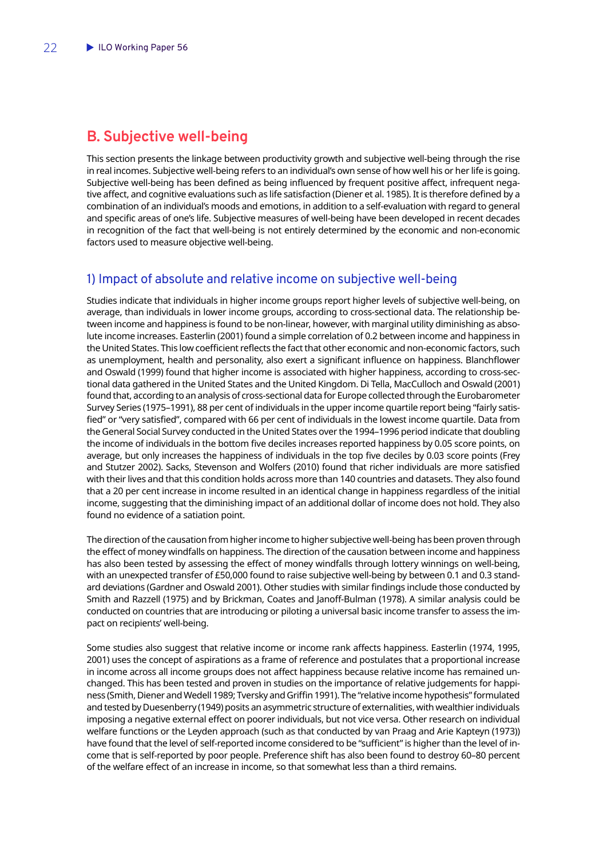## <span id="page-23-0"></span>**B. Subjective well-being**

This section presents the linkage between productivity growth and subjective well-being through the rise in real incomes. Subjective well-being refers to an individual's own sense of how well his or her life is going. Subjective well-being has been defined as being influenced by frequent positive affect, infrequent negative affect, and cognitive evaluations such as life satisfaction (Diener et al. 1985). It is therefore defined by a combination of an individual's moods and emotions, in addition to a self-evaluation with regard to general and specific areas of one's life. Subjective measures of well-being have been developed in recent decades in recognition of the fact that well-being is not entirely determined by the economic and non-economic factors used to measure objective well-being.

## 1) Impact of absolute and relative income on subjective well-being

Studies indicate that individuals in higher income groups report higher levels of subjective well-being, on average, than individuals in lower income groups, according to cross-sectional data. The relationship between income and happiness is found to be non-linear, however, with marginal utility diminishing as absolute income increases. Easterlin (2001) found a simple correlation of 0.2 between income and happiness in the United States. This low coefficient reflects the fact that other economic and non-economic factors, such as unemployment, health and personality, also exert a significant influence on happiness. Blanchflower and Oswald (1999) found that higher income is associated with higher happiness, according to cross-sectional data gathered in the United States and the United Kingdom. Di Tella, MacCulloch and Oswald (2001) found that, according to an analysis of cross-sectional data for Europe collected through the Eurobarometer Survey Series (1975–1991), 88 per cent of individuals in the upper income quartile report being "fairly satisfied" or "very satisfied", compared with 66 per cent of individuals in the lowest income quartile. Data from the General Social Survey conducted in the United States over the 1994–1996 period indicate that doubling the income of individuals in the bottom five deciles increases reported happiness by 0.05 score points, on average, but only increases the happiness of individuals in the top five deciles by 0.03 score points (Frey and Stutzer 2002). Sacks, Stevenson and Wolfers (2010) found that richer individuals are more satisfied with their lives and that this condition holds across more than 140 countries and datasets. They also found that a 20 per cent increase in income resulted in an identical change in happiness regardless of the initial income, suggesting that the diminishing impact of an additional dollar of income does not hold. They also found no evidence of a satiation point.

The direction of the causation from higher income to higher subjective well-being has been proven through the effect of money windfalls on happiness. The direction of the causation between income and happiness has also been tested by assessing the effect of money windfalls through lottery winnings on well-being, with an unexpected transfer of £50,000 found to raise subjective well-being by between 0.1 and 0.3 standard deviations (Gardner and Oswald 2001). Other studies with similar findings include those conducted by Smith and Razzell (1975) and by Brickman, Coates and Janoff-Bulman (1978). A similar analysis could be conducted on countries that are introducing or piloting a universal basic income transfer to assess the impact on recipients' well-being.

Some studies also suggest that relative income or income rank affects happiness. Easterlin (1974, 1995, 2001) uses the concept of aspirations as a frame of reference and postulates that a proportional increase in income across all income groups does not affect happiness because relative income has remained unchanged. This has been tested and proven in studies on the importance of relative judgements for happiness (Smith, Diener and Wedell 1989; Tversky and Griffin 1991). The "relative income hypothesis" formulated and tested by Duesenberry (1949) posits an asymmetric structure of externalities, with wealthier individuals imposing a negative external effect on poorer individuals, but not vice versa. Other research on individual welfare functions or the Leyden approach (such as that conducted by van Praag and Arie Kapteyn (1973)) have found that the level of self-reported income considered to be "sufficient" is higher than the level of income that is self-reported by poor people. Preference shift has also been found to destroy 60–80 percent of the welfare effect of an increase in income, so that somewhat less than a third remains.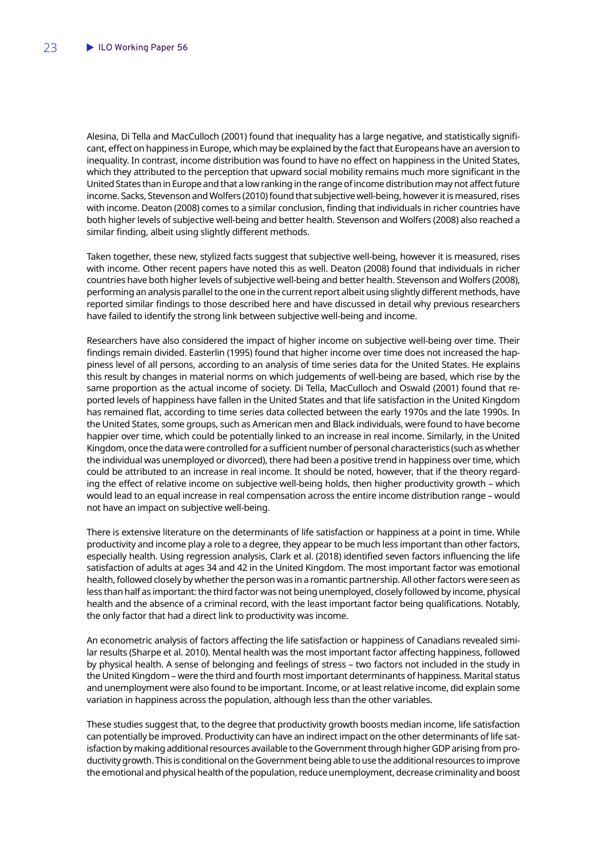Alesina, Di Tella and MacCulloch (2001) found that inequality has a large negative, and statistically significant, effect on happiness in Europe, which may be explained by the fact that Europeans have an aversion to inequality. In contrast, income distribution was found to have no effect on happiness in the United States, which they attributed to the perception that upward social mobility remains much more significant in the United States than in Europe and that a low ranking in the range of income distribution may not affect future income. Sacks, Stevenson and Wolfers (2010) found that subjective well-being, however it is measured, rises with income. Deaton (2008) comes to a similar conclusion, finding that individuals in richer countries have both higher levels of subjective well-being and better health. Stevenson and Wolfers (2008) also reached a similar finding, albeit using slightly different methods.

Taken together, these new, stylized facts suggest that subjective well-being, however it is measured, rises with income. Other recent papers have noted this as well. Deaton (2008) found that individuals in richer countries have both higher levels of subjective well-being and better health. Stevenson and Wolfers (2008), performing an analysis parallel to the one in the current report albeit using slightly different methods, have reported similar findings to those described here and have discussed in detail why previous researchers have failed to identify the strong link between subjective well-being and income.

Researchers have also considered the impact of higher income on subjective well-being over time. Their findings remain divided. Easterlin (1995) found that higher income over time does not increased the happiness level of all persons, according to an analysis of time series data for the United States. He explains this result by changes in material norms on which judgements of well-being are based, which rise by the same proportion as the actual income of society. Di Tella, MacCulloch and Oswald (2001) found that reported levels of happiness have fallen in the United States and that life satisfaction in the United Kingdom has remained flat, according to time series data collected between the early 1970s and the late 1990s. In the United States, some groups, such as American men and Black individuals, were found to have become happier over time, which could be potentially linked to an increase in real income. Similarly, in the United Kingdom, once the data were controlled for a sufficient number of personal characteristics (such as whether the individual was unemployed or divorced), there had been a positive trend in happiness over time, which could be attributed to an increase in real income. It should be noted, however, that if the theory regarding the effect of relative income on subjective well-being holds, then higher productivity growth – which would lead to an equal increase in real compensation across the entire income distribution range – would not have an impact on subjective well-being.

There is extensive literature on the determinants of life satisfaction or happiness at a point in time. While productivity and income play a role to a degree, they appear to be much less important than other factors, especially health. Using regression analysis, Clark et al. (2018) identified seven factors influencing the life satisfaction of adults at ages 34 and 42 in the United Kingdom. The most important factor was emotional health, followed closely by whether the person was in a romantic partnership. All other factors were seen as less than half as important: the third factor was not being unemployed, closely followed by income, physical health and the absence of a criminal record, with the least important factor being qualifications. Notably, the only factor that had a direct link to productivity was income.

An econometric analysis of factors affecting the life satisfaction or happiness of Canadians revealed similar results (Sharpe et al. 2010). Mental health was the most important factor affecting happiness, followed by physical health. A sense of belonging and feelings of stress – two factors not included in the study in the United Kingdom – were the third and fourth most important determinants of happiness. Marital status and unemployment were also found to be important. Income, or at least relative income, did explain some variation in happiness across the population, although less than the other variables.

These studies suggest that, to the degree that productivity growth boosts median income, life satisfaction can potentially be improved. Productivity can have an indirect impact on the other determinants of life satisfaction by making additional resources available to the Government through higher GDP arising from productivity growth. This is conditional on the Government being able to use the additional resources to improve the emotional and physical health of the population, reduce unemployment, decrease criminality and boost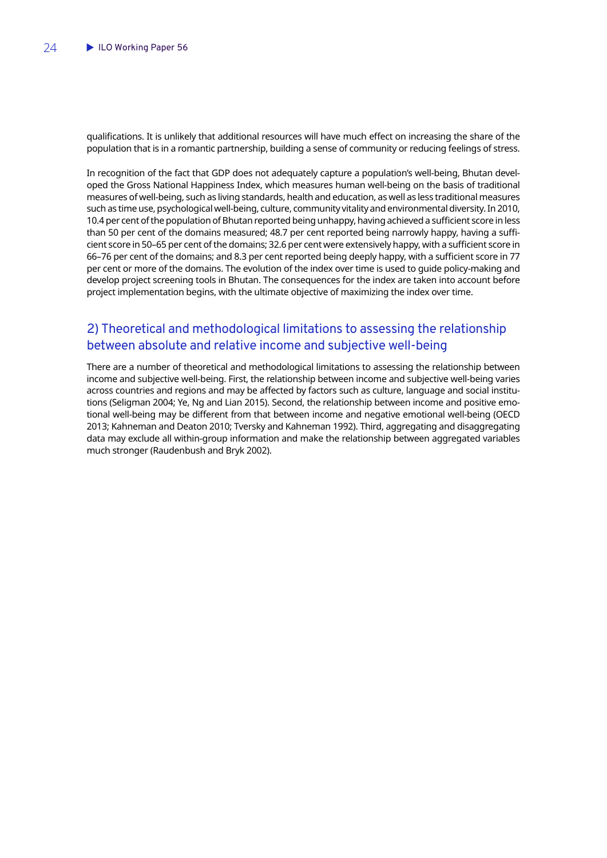<span id="page-25-0"></span>qualifications. It is unlikely that additional resources will have much effect on increasing the share of the population that is in a romantic partnership, building a sense of community or reducing feelings of stress.

In recognition of the fact that GDP does not adequately capture a population's well-being, Bhutan developed the Gross National Happiness Index, which measures human well-being on the basis of traditional measures of well-being, such as living standards, health and education, as well as less traditional measures such as time use, psychological well-being, culture, community vitality and environmental diversity. In 2010, 10.4 per cent of the population of Bhutan reported being unhappy, having achieved a sufficient score in less than 50 per cent of the domains measured; 48.7 per cent reported being narrowly happy, having a sufficient score in 50–65 per cent of the domains; 32.6 per cent were extensively happy, with a sufficient score in 66–76 per cent of the domains; and 8.3 per cent reported being deeply happy, with a sufficient score in 77 per cent or more of the domains. The evolution of the index over time is used to guide policy-making and develop project screening tools in Bhutan. The consequences for the index are taken into account before project implementation begins, with the ultimate objective of maximizing the index over time.

## 2) Theoretical and methodological limitations to assessing the relationship between absolute and relative income and subjective well-being

There are a number of theoretical and methodological limitations to assessing the relationship between income and subjective well-being. First, the relationship between income and subjective well-being varies across countries and regions and may be affected by factors such as culture, language and social institutions (Seligman 2004; Ye, Ng and Lian 2015). Second, the relationship between income and positive emotional well-being may be different from that between income and negative emotional well-being (OECD 2013; Kahneman and Deaton 2010; Tversky and Kahneman 1992). Third, aggregating and disaggregating data may exclude all within-group information and make the relationship between aggregated variables much stronger (Raudenbush and Bryk 2002).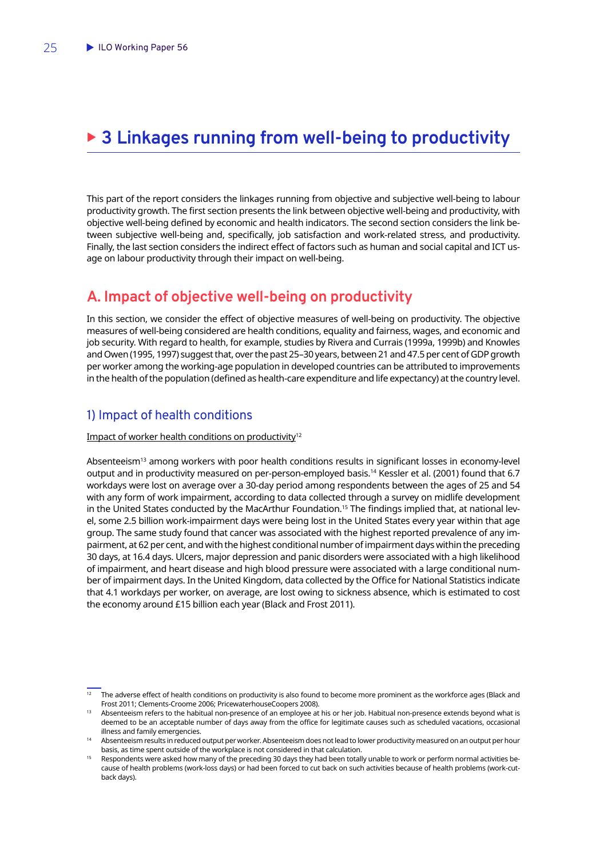## <span id="page-26-0"></span>▶ 3 Linkages running from well-being to productivity

This part of the report considers the linkages running from objective and subjective well-being to labour productivity growth. The first section presents the link between objective well-being and productivity, with objective well-being defined by economic and health indicators. The second section considers the link between subjective well-being and, specifically, job satisfaction and work-related stress, and productivity. Finally, the last section considers the indirect effect of factors such as human and social capital and ICT usage on labour productivity through their impact on well-being.

## **A. Impact of objective well-being on productivity**

In this section, we consider the effect of objective measures of well-being on productivity. The objective measures of well-being considered are health conditions, equality and fairness, wages, and economic and job security. With regard to health, for example, studies by Rivera and Currais (1999a, 1999b) and Knowles and Owen (1995, 1997) suggest that, over the past 25–30 years, between 21 and 47.5 per cent of GDP growth per worker among the working-age population in developed countries can be attributed to improvements in the health of the population (defined as health-care expenditure and life expectancy) at the country level.

## 1) Impact of health conditions

Impact of worker health conditions on productivity<sup>12</sup>

Absenteeism13 among workers with poor health conditions results in significant losses in economy-level output and in productivity measured on per-person-employed basis.<sup>14</sup> Kessler et al. (2001) found that 6.7 workdays were lost on average over a 30-day period among respondents between the ages of 25 and 54 with any form of work impairment, according to data collected through a survey on midlife development in the United States conducted by the MacArthur Foundation.<sup>15</sup> The findings implied that, at national level, some 2.5 billion work-impairment days were being lost in the United States every year within that age group. The same study found that cancer was associated with the highest reported prevalence of any impairment, at 62 per cent, and with the highest conditional number of impairment days within the preceding 30 days, at 16.4 days. Ulcers, major depression and panic disorders were associated with a high likelihood of impairment, and heart disease and high blood pressure were associated with a large conditional number of impairment days. In the United Kingdom, data collected by the Office for National Statistics indicate that 4.1 workdays per worker, on average, are lost owing to sickness absence, which is estimated to cost the economy around £15 billion each year (Black and Frost 2011).

<sup>&</sup>lt;sup>12</sup> The adverse effect of health conditions on productivity is also found to become more prominent as the workforce ages (Black and

Frost 2011; Clements-Croome 2006; PricewaterhouseCoopers 2008). 13 Absenteeism refers to the habitual non-presence of an employee at his or her job. Habitual non-presence extends beyond what is deemed to be an acceptable number of days away from the office for legitimate causes such as scheduled vacations, occasional

illness and family emergencies.<br>Absenteeism results in reduced output per worker. Absenteeism does not lead to lower productivity measured on an output per hour

basis, as time spent outside of the workplace is not considered in that calculation.<br>Respondents were asked how many of the preceding 30 days they had been totally unable to work or perform normal activities because of health problems (work-loss days) or had been forced to cut back on such activities because of health problems (work-cutback days).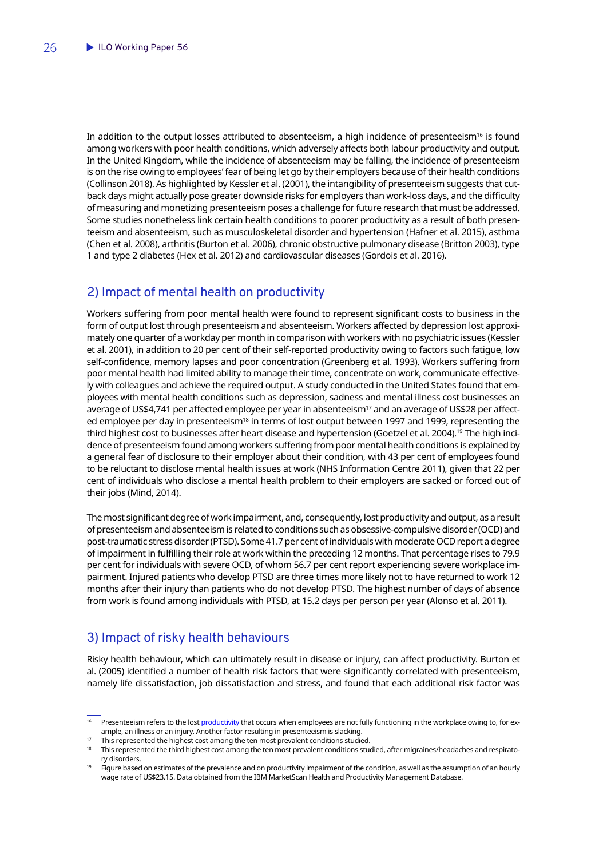<span id="page-27-0"></span>In addition to the output losses attributed to absenteeism, a high incidence of presenteeism<sup>16</sup> is found among workers with poor health conditions, which adversely affects both labour productivity and output. In the United Kingdom, while the incidence of absenteeism may be falling, the incidence of presenteeism is on the rise owing to employees' fear of being let go by their employers because of their health conditions (Collinson 2018). As highlighted by Kessler et al. (2001), the intangibility of presenteeism suggests that cutback days might actually pose greater downside risks for employers than work-loss days, and the difficulty of measuring and monetizing presenteeism poses a challenge for future research that must be addressed. Some studies nonetheless link certain health conditions to poorer productivity as a result of both presenteeism and absenteeism, such as musculoskeletal disorder and hypertension (Hafner et al. 2015), asthma (Chen et al. 2008), arthritis (Burton et al. 2006), chronic obstructive pulmonary disease (Britton 2003), type 1 and type 2 diabetes (Hex et al. 2012) and cardiovascular diseases (Gordois et al. 2016).

## 2) Impact of mental health on productivity

Workers suffering from poor mental health were found to represent significant costs to business in the form of output lost through presenteeism and absenteeism. Workers affected by depression lost approximately one quarter of a workday per month in comparison with workers with no psychiatric issues (Kessler et al. 2001), in addition to 20 per cent of their self-reported productivity owing to factors such fatigue, low self-confidence, memory lapses and poor concentration (Greenberg et al. 1993). Workers suffering from poor mental health had limited ability to manage their time, concentrate on work, communicate effectively with colleagues and achieve the required output. A study conducted in the United States found that employees with mental health conditions such as depression, sadness and mental illness cost businesses an average of US\$4,741 per affected employee per year in absenteeism<sup>17</sup> and an average of US\$28 per affected employee per day in presenteeism<sup>18</sup> in terms of lost output between 1997 and 1999, representing the third highest cost to businesses after heart disease and hypertension (Goetzel et al. 2004).<sup>19</sup> The high incidence of presenteeism found among workers suffering from poor mental health conditions is explained by a general fear of disclosure to their employer about their condition, with 43 per cent of employees found to be reluctant to disclose mental health issues at work (NHS Information Centre 2011), given that 22 per cent of individuals who disclose a mental health problem to their employers are sacked or forced out of their jobs (Mind, 2014).

The most significant degree of work impairment, and, consequently, lost productivity and output, as a result of presenteeism and absenteeism is related to conditions such as obsessive-compulsive disorder (OCD) and post-traumatic stress disorder (PTSD). Some 41.7 per cent of individuals with moderate OCD report a degree of impairment in fulfilling their role at work within the preceding 12 months. That percentage rises to 79.9 per cent for individuals with severe OCD, of whom 56.7 per cent report experiencing severe workplace impairment. Injured patients who develop PTSD are three times more likely not to have returned to work 12 months after their injury than patients who do not develop PTSD. The highest number of days of absence from work is found among individuals with PTSD, at 15.2 days per person per year (Alonso et al. 2011).

## 3) Impact of risky health behaviours

Risky health behaviour, which can ultimately result in disease or injury, can affect productivity. Burton et al. (2005) identified a number of health risk factors that were significantly correlated with presenteeism, namely life dissatisfaction, job dissatisfaction and stress, and found that each additional risk factor was

Presenteeism refers to the lost [productivity](https://www.investopedia.com/terms/p/productivity.asp) that occurs when employees are not fully functioning in the workplace owing to, for ex-<br>ample, an illness or an injury. Another factor resulting in presenteeism is slacking.

This represented the highest cost among the ten most prevalent conditions studied.<br>This represented the third highest cost among the ten most prevalent conditions studied, after migraines/headaches and respiratory disorders.

Figure based on estimates of the prevalence and on productivity impairment of the condition, as well as the assumption of an hourly wage rate of US\$23.15. Data obtained from the IBM MarketScan Health and Productivity Management Database.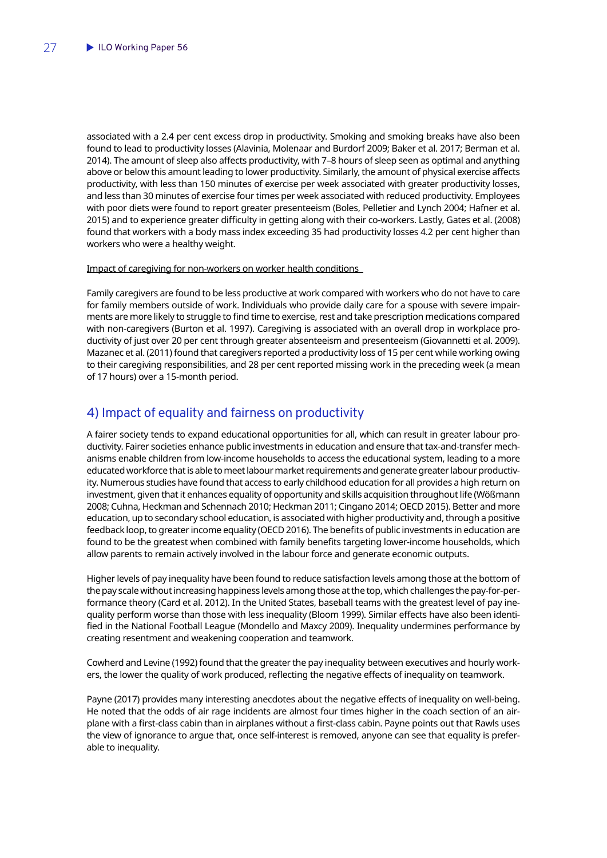<span id="page-28-0"></span>associated with a 2.4 per cent excess drop in productivity. Smoking and smoking breaks have also been found to lead to productivity losses (Alavinia, Molenaar and Burdorf 2009; Baker et al. 2017; Berman et al. 2014). The amount of sleep also affects productivity, with 7–8 hours of sleep seen as optimal and anything above or below this amount leading to lower productivity. Similarly, the amount of physical exercise affects productivity, with less than 150 minutes of exercise per week associated with greater productivity losses, and less than 30 minutes of exercise four times per week associated with reduced productivity. Employees with poor diets were found to report greater presenteeism (Boles, Pelletier and Lynch 2004; Hafner et al. 2015) and to experience greater difficulty in getting along with their co-workers. Lastly, Gates et al. (2008) found that workers with a body mass index exceeding 35 had productivity losses 4.2 per cent higher than workers who were a healthy weight.

### Impact of caregiving for non-workers on worker health conditions

Family caregivers are found to be less productive at work compared with workers who do not have to care for family members outside of work. Individuals who provide daily care for a spouse with severe impairments are more likely to struggle to find time to exercise, rest and take prescription medications compared with non-caregivers (Burton et al. 1997). Caregiving is associated with an overall drop in workplace productivity of just over 20 per cent through greater absenteeism and presenteeism (Giovannetti et al. 2009). Mazanec et al. (2011) found that caregivers reported a productivity loss of 15 per cent while working owing to their caregiving responsibilities, and 28 per cent reported missing work in the preceding week (a mean of 17 hours) over a 15-month period.

## 4) Impact of equality and fairness on productivity

A fairer society tends to expand educational opportunities for all, which can result in greater labour productivity. Fairer societies enhance public investments in education and ensure that tax-and-transfer mechanisms enable children from low-income households to access the educational system, leading to a more educated workforce that is able to meet labour market requirements and generate greater labour productivity. Numerous studies have found that access to early childhood education for all provides a high return on investment, given that it enhances equality of opportunity and skills acquisition throughout life (Wößmann 2008; Cuhna, Heckman and Schennach 2010; Heckman 2011; Cingano 2014; OECD 2015). Better and more education, up to secondary school education, is associated with higher productivity and, through a positive feedback loop, to greater income equality (OECD 2016). The benefits of public investments in education are found to be the greatest when combined with family benefits targeting lower-income households, which allow parents to remain actively involved in the labour force and generate economic outputs.

Higher levels of pay inequality have been found to reduce satisfaction levels among those at the bottom of the pay scale without increasing happiness levels among those at the top, which challenges the pay-for-performance theory (Card et al. 2012). In the United States, baseball teams with the greatest level of pay inequality perform worse than those with less inequality (Bloom 1999). Similar effects have also been identified in the National Football League (Mondello and Maxcy 2009). Inequality undermines performance by creating resentment and weakening cooperation and teamwork.

Cowherd and Levine (1992) found that the greater the pay inequality between executives and hourly workers, the lower the quality of work produced, reflecting the negative effects of inequality on teamwork.

Payne (2017) provides many interesting anecdotes about the negative effects of inequality on well-being. He noted that the odds of air rage incidents are almost four times higher in the coach section of an airplane with a first-class cabin than in airplanes without a first-class cabin. Payne points out that Rawls uses the view of ignorance to argue that, once self-interest is removed, anyone can see that equality is preferable to inequality.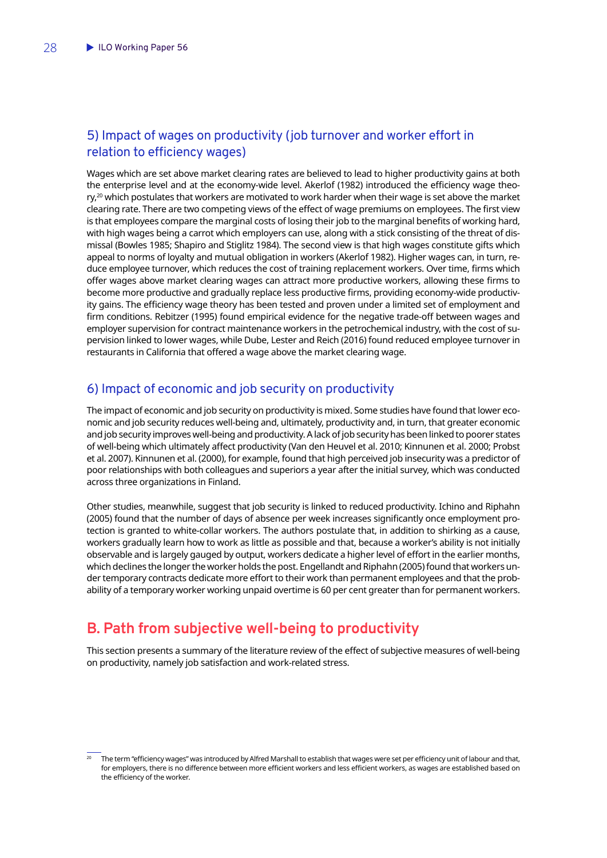## <span id="page-29-0"></span>5) Impact of wages on productivity (job turnover and worker effort in relation to efficiency wages)

Wages which are set above market clearing rates are believed to lead to higher productivity gains at both the enterprise level and at the economy-wide level. Akerlof (1982) introduced the efficiency wage theo $ry<sub>1</sub><sup>20</sup>$  which postulates that workers are motivated to work harder when their wage is set above the market clearing rate. There are two competing views of the effect of wage premiums on employees. The first view is that employees compare the marginal costs of losing their job to the marginal benefits of working hard, with high wages being a carrot which employers can use, along with a stick consisting of the threat of dismissal (Bowles 1985; Shapiro and Stiglitz 1984). The second view is that high wages constitute gifts which appeal to norms of loyalty and mutual obligation in workers (Akerlof 1982). Higher wages can, in turn, reduce employee turnover, which reduces the cost of training replacement workers. Over time, firms which offer wages above market clearing wages can attract more productive workers, allowing these firms to become more productive and gradually replace less productive firms, providing economy-wide productivity gains. The efficiency wage theory has been tested and proven under a limited set of employment and firm conditions. Rebitzer (1995) found empirical evidence for the negative trade-off between wages and employer supervision for contract maintenance workers in the petrochemical industry, with the cost of supervision linked to lower wages, while Dube, Lester and Reich (2016) found reduced employee turnover in restaurants in California that offered a wage above the market clearing wage.

## 6) Impact of economic and job security on productivity

The impact of economic and job security on productivity is mixed. Some studies have found that lower economic and job security reduces well-being and, ultimately, productivity and, in turn, that greater economic and job security improves well-being and productivity. A lack of job security has been linked to poorer states of well-being which ultimately affect productivity (Van den Heuvel et al. 2010; Kinnunen et al. 2000; Probst et al. 2007). Kinnunen et al. (2000), for example, found that high perceived job insecurity was a predictor of poor relationships with both colleagues and superiors a year after the initial survey, which was conducted across three organizations in Finland.

Other studies, meanwhile, suggest that job security is linked to reduced productivity. Ichino and Riphahn (2005) found that the number of days of absence per week increases significantly once employment protection is granted to white-collar workers. The authors postulate that, in addition to shirking as a cause, workers gradually learn how to work as little as possible and that, because a worker's ability is not initially observable and is largely gauged by output, workers dedicate a higher level of effort in the earlier months, which declines the longer the worker holds the post. Engellandt and Riphahn (2005) found that workers under temporary contracts dedicate more effort to their work than permanent employees and that the probability of a temporary worker working unpaid overtime is 60 per cent greater than for permanent workers.

## **B. Path from subjective well-being to productivity**

This section presents a summary of the literature review of the effect of subjective measures of well-being on productivity, namely job satisfaction and work-related stress.

The term "efficiency wages" was introduced by Alfred Marshall to establish that wages were set per efficiency unit of labour and that, for employers, there is no difference between more efficient workers and less efficient workers, as wages are established based on the efficiency of the worker.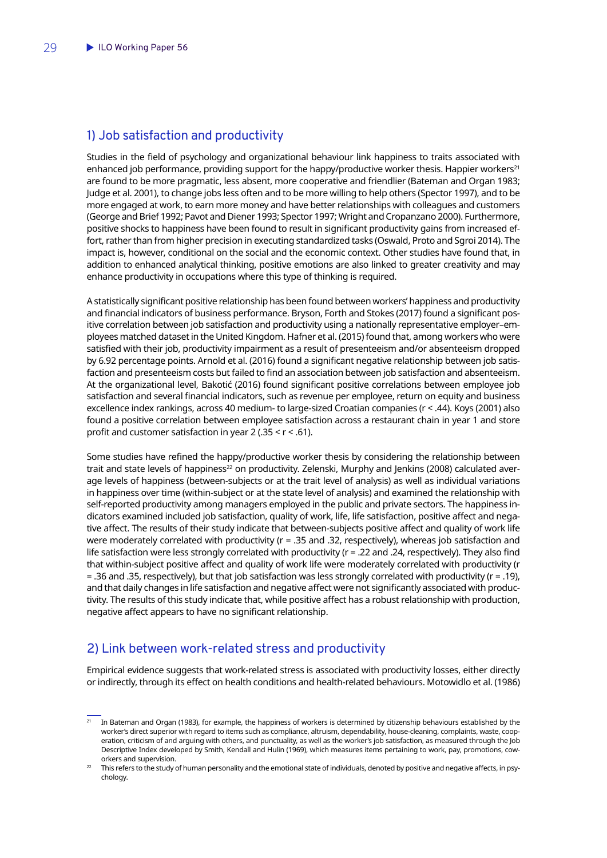### <span id="page-30-0"></span>1) Job satisfaction and productivity

Studies in the field of psychology and organizational behaviour link happiness to traits associated with enhanced job performance, providing support for the happy/productive worker thesis. Happier workers<sup>21</sup> are found to be more pragmatic, less absent, more cooperative and friendlier (Bateman and Organ 1983; Judge et al. 2001), to change jobs less often and to be more willing to help others (Spector 1997), and to be more engaged at work, to earn more money and have better relationships with colleagues and customers (George and Brief 1992; Pavot and Diener 1993; Spector 1997; Wright and Cropanzano 2000). Furthermore, positive shocks to happiness have been found to result in significant productivity gains from increased effort, rather than from higher precision in executing standardized tasks (Oswald, Proto and Sgroi 2014). The impact is, however, conditional on the social and the economic context. Other studies have found that, in addition to enhanced analytical thinking, positive emotions are also linked to greater creativity and may enhance productivity in occupations where this type of thinking is required.

A statistically significant positive relationship has been found between workers' happiness and productivity and financial indicators of business performance. Bryson, Forth and Stokes (2017) found a significant positive correlation between job satisfaction and productivity using a nationally representative employer–employees matched dataset in the United Kingdom. Hafner et al. (2015) found that, among workers who were satisfied with their job, productivity impairment as a result of presenteeism and/or absenteeism dropped by 6.92 percentage points. Arnold et al. (2016) found a significant negative relationship between job satisfaction and presenteeism costs but failed to find an association between job satisfaction and absenteeism. At the organizational level, Bakotić (2016) found significant positive correlations between employee job satisfaction and several financial indicators, such as revenue per employee, return on equity and business excellence index rankings, across 40 medium- to large-sized Croatian companies (r < .44). Koys (2001) also found a positive correlation between employee satisfaction across a restaurant chain in year 1 and store profit and customer satisfaction in year 2 (.35  $\leq$  r  $\leq$  .61).

Some studies have refined the happy/productive worker thesis by considering the relationship between trait and state levels of happiness<sup>22</sup> on productivity. Zelenski, Murphy and Jenkins (2008) calculated average levels of happiness (between-subjects or at the trait level of analysis) as well as individual variations in happiness over time (within-subject or at the state level of analysis) and examined the relationship with self-reported productivity among managers employed in the public and private sectors. The happiness indicators examined included job satisfaction, quality of work, life, life satisfaction, positive affect and negative affect. The results of their study indicate that between-subjects positive affect and quality of work life were moderately correlated with productivity (r = .35 and .32, respectively), whereas job satisfaction and life satisfaction were less strongly correlated with productivity (r = .22 and .24, respectively). They also find that within-subject positive affect and quality of work life were moderately correlated with productivity (r = .36 and .35, respectively), but that job satisfaction was less strongly correlated with productivity (r = .19), and that daily changes in life satisfaction and negative affect were not significantly associated with productivity. The results of this study indicate that, while positive affect has a robust relationship with production, negative affect appears to have no significant relationship.

### 2) Link between work-related stress and productivity

Empirical evidence suggests that work-related stress is associated with productivity losses, either directly or indirectly, through its effect on health conditions and health-related behaviours. Motowidlo et al. (1986)

<sup>21</sup> In Bateman and Organ (1983), for example, the happiness of workers is determined by citizenship behaviours established by the worker's direct superior with regard to items such as compliance, altruism, dependability, house-cleaning, complaints, waste, cooperation, criticism of and arguing with others, and punctuality, as well as the worker's job satisfaction, as measured through the Job Descriptive Index developed by Smith, Kendall and Hulin (1969), which measures items pertaining to work, pay, promotions, coworkers and supervision.

This refers to the study of human personality and the emotional state of individuals, denoted by positive and negative affects, in psychology.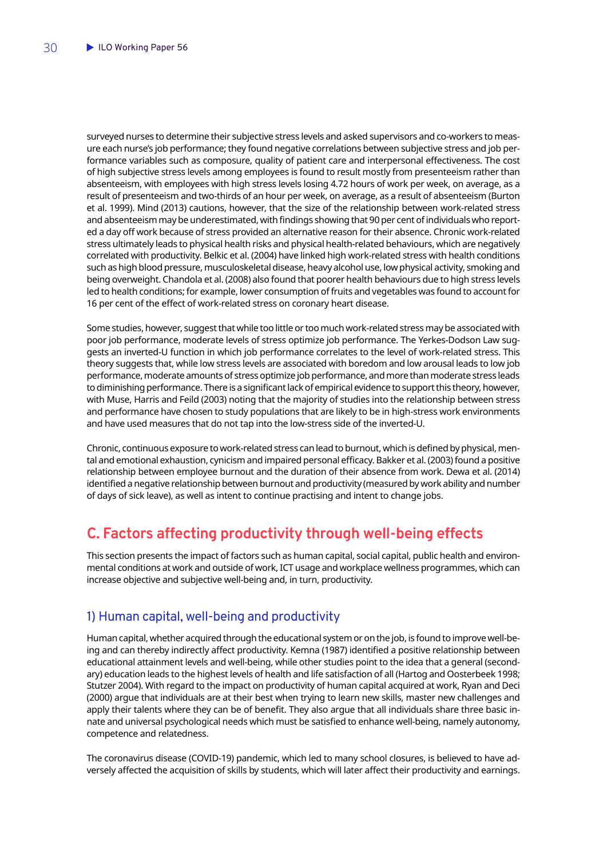<span id="page-31-0"></span>surveyed nurses to determine their subjective stress levels and asked supervisors and co-workers to measure each nurse's job performance; they found negative correlations between subjective stress and job performance variables such as composure, quality of patient care and interpersonal effectiveness. The cost of high subjective stress levels among employees is found to result mostly from presenteeism rather than absenteeism, with employees with high stress levels losing 4.72 hours of work per week, on average, as a result of presenteeism and two-thirds of an hour per week, on average, as a result of absenteeism (Burton et al. 1999). Mind (2013) cautions, however, that the size of the relationship between work-related stress and absenteeism may be underestimated, with findings showing that 90 per cent of individuals who reported a day off work because of stress provided an alternative reason for their absence. Chronic work-related stress ultimately leads to physical health risks and physical health-related behaviours, which are negatively correlated with productivity. Belkic et al. (2004) have linked high work-related stress with health conditions such as high blood pressure, musculoskeletal disease, heavy alcohol use, low physical activity, smoking and being overweight. Chandola et al. (2008) also found that poorer health behaviours due to high stress levels led to health conditions; for example, lower consumption of fruits and vegetables was found to account for 16 per cent of the effect of work-related stress on coronary heart disease.

Some studies, however, suggest that while too little or too much work-related stress may be associated with poor job performance, moderate levels of stress optimize job performance. The Yerkes-Dodson Law suggests an inverted-U function in which job performance correlates to the level of work-related stress. This theory suggests that, while low stress levels are associated with boredom and low arousal leads to low job performance, moderate amounts of stress optimize job performance, and more than moderate stress leads to diminishing performance. There is a significant lack of empirical evidence to support this theory, however, with Muse, Harris and Feild (2003) noting that the majority of studies into the relationship between stress and performance have chosen to study populations that are likely to be in high-stress work environments and have used measures that do not tap into the low-stress side of the inverted-U.

Chronic, continuous exposure to work-related stress can lead to burnout, which is defined by physical, mental and emotional exhaustion, cynicism and impaired personal efficacy. Bakker et al. (2003) found a positive relationship between employee burnout and the duration of their absence from work. Dewa et al. (2014) identified a negative relationship between burnout and productivity (measured by work ability and number of days of sick leave), as well as intent to continue practising and intent to change jobs.

## **C. Factors affecting productivity through well-being effects**

This section presents the impact of factors such as human capital, social capital, public health and environmental conditions at work and outside of work, ICT usage and workplace wellness programmes, which can increase objective and subjective well-being and, in turn, productivity.

## 1) Human capital, well-being and productivity

Human capital, whether acquired through the educational system or on the job, is found to improve well-being and can thereby indirectly affect productivity. Kemna (1987) identified a positive relationship between educational attainment levels and well-being, while other studies point to the idea that a general (secondary) education leads to the highest levels of health and life satisfaction of all (Hartog and Oosterbeek 1998; Stutzer 2004). With regard to the impact on productivity of human capital acquired at work, Ryan and Deci (2000) argue that individuals are at their best when trying to learn new skills, master new challenges and apply their talents where they can be of benefit. They also argue that all individuals share three basic innate and universal psychological needs which must be satisfied to enhance well-being, namely autonomy, competence and relatedness.

The coronavirus disease (COVID-19) pandemic, which led to many school closures, is believed to have adversely affected the acquisition of skills by students, which will later affect their productivity and earnings.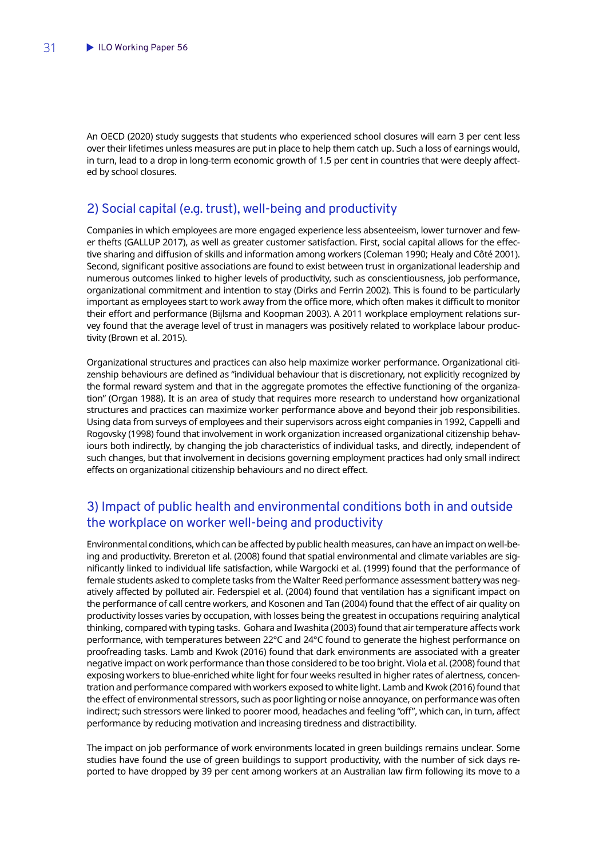<span id="page-32-0"></span>An OECD (2020) study suggests that students who experienced school closures will earn 3 per cent less over their lifetimes unless measures are put in place to help them catch up. Such a loss of earnings would, in turn, lead to a drop in long-term economic growth of 1.5 per cent in countries that were deeply affected by school closures.

## 2) Social capital (e.g. trust), well-being and productivity

Companies in which employees are more engaged experience less absenteeism, lower turnover and fewer thefts (GALLUP 2017), as well as greater customer satisfaction. First, social capital allows for the effective sharing and diffusion of skills and information among workers (Coleman 1990; Healy and Côté 2001). Second, significant positive associations are found to exist between trust in organizational leadership and numerous outcomes linked to higher levels of productivity, such as conscientiousness, job performance, organizational commitment and intention to stay (Dirks and Ferrin 2002). This is found to be particularly important as employees start to work away from the office more, which often makes it difficult to monitor their effort and performance (Bijlsma and Koopman 2003). A 2011 workplace employment relations survey found that the average level of trust in managers was positively related to workplace labour productivity (Brown et al. 2015).

Organizational structures and practices can also help maximize worker performance. Organizational citizenship behaviours are defined as "individual behaviour that is discretionary, not explicitly recognized by the formal reward system and that in the aggregate promotes the effective functioning of the organization" (Organ 1988). It is an area of study that requires more research to understand how organizational structures and practices can maximize worker performance above and beyond their job responsibilities. Using data from surveys of employees and their supervisors across eight companies in 1992, Cappelli and Rogovsky (1998) found that involvement in work organization increased organizational citizenship behaviours both indirectly, by changing the job characteristics of individual tasks, and directly, independent of such changes, but that involvement in decisions governing employment practices had only small indirect effects on organizational citizenship behaviours and no direct effect.

## 3) Impact of public health and environmental conditions both in and outside the workplace on worker well-being and productivity

Environmental conditions, which can be affected by public health measures, can have an impact on well-being and productivity. Brereton et al. (2008) found that spatial environmental and climate variables are significantly linked to individual life satisfaction, while Wargocki et al. (1999) found that the performance of female students asked to complete tasks from the Walter Reed performance assessment battery was negatively affected by polluted air. Federspiel et al. (2004) found that ventilation has a significant impact on the performance of call centre workers, and Kosonen and Tan (2004) found that the effect of air quality on productivity losses varies by occupation, with losses being the greatest in occupations requiring analytical thinking, compared with typing tasks. Gohara and Iwashita (2003) found that air temperature affects work performance, with temperatures between 22°C and 24°C found to generate the highest performance on proofreading tasks. Lamb and Kwok (2016) found that dark environments are associated with a greater negative impact on work performance than those considered to be too bright. Viola et al. (2008) found that exposing workers to blue-enriched white light for four weeks resulted in higher rates of alertness, concentration and performance compared with workers exposed to white light. Lamb and Kwok (2016) found that the effect of environmental stressors, such as poor lighting or noise annoyance, on performance was often indirect; such stressors were linked to poorer mood, headaches and feeling "off", which can, in turn, affect performance by reducing motivation and increasing tiredness and distractibility.

The impact on job performance of work environments located in green buildings remains unclear. Some studies have found the use of green buildings to support productivity, with the number of sick days reported to have dropped by 39 per cent among workers at an Australian law firm following its move to a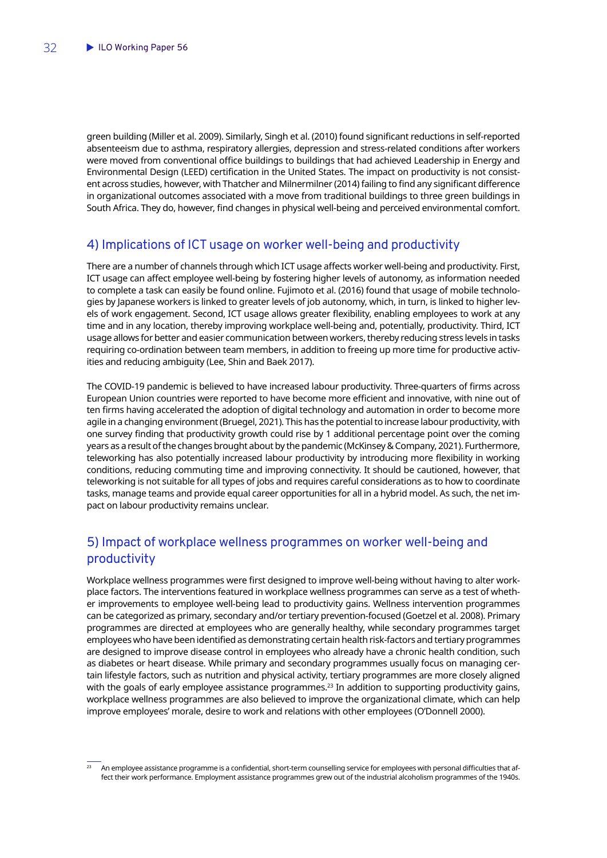<span id="page-33-0"></span>green building (Miller et al. 2009). Similarly, Singh et al. (2010) found significant reductions in self-reported absenteeism due to asthma, respiratory allergies, depression and stress-related conditions after workers were moved from conventional office buildings to buildings that had achieved Leadership in Energy and Environmental Design (LEED) certification in the United States. The impact on productivity is not consistent across studies, however, with Thatcher and Milnermilner (2014) failing to find any significant difference in organizational outcomes associated with a move from traditional buildings to three green buildings in South Africa. They do, however, find changes in physical well-being and perceived environmental comfort.

### 4) Implications of ICT usage on worker well-being and productivity

There are a number of channels through which ICT usage affects worker well-being and productivity. First, ICT usage can affect employee well-being by fostering higher levels of autonomy, as information needed to complete a task can easily be found online. Fujimoto et al. (2016) found that usage of mobile technologies by Japanese workers is linked to greater levels of job autonomy, which, in turn, is linked to higher levels of work engagement. Second, ICT usage allows greater flexibility, enabling employees to work at any time and in any location, thereby improving workplace well-being and, potentially, productivity. Third, ICT usage allows for better and easier communication between workers, thereby reducing stress levels in tasks requiring co-ordination between team members, in addition to freeing up more time for productive activities and reducing ambiguity (Lee, Shin and Baek 2017).

The COVID-19 pandemic is believed to have increased labour productivity. Three-quarters of firms across European Union countries were reported to have become more efficient and innovative, with nine out of ten firms having accelerated the adoption of digital technology and automation in order to become more agile in a changing environment (Bruegel, 2021). This has the potential to increase labour productivity, with one survey finding that productivity growth could rise by 1 additional percentage point over the coming years as a result of the changes brought about by the pandemic (McKinsey & Company, 2021). Furthermore, teleworking has also potentially increased labour productivity by introducing more flexibility in working conditions, reducing commuting time and improving connectivity. It should be cautioned, however, that teleworking is not suitable for all types of jobs and requires careful considerations as to how to coordinate tasks, manage teams and provide equal career opportunities for all in a hybrid model. As such, the net impact on labour productivity remains unclear.

## 5) Impact of workplace wellness programmes on worker well-being and productivity

Workplace wellness programmes were first designed to improve well-being without having to alter workplace factors. The interventions featured in workplace wellness programmes can serve as a test of whether improvements to employee well-being lead to productivity gains. Wellness intervention programmes can be categorized as primary, secondary and/or tertiary prevention-focused (Goetzel et al. 2008). Primary programmes are directed at employees who are generally healthy, while secondary programmes target employees who have been identified as demonstrating certain health risk-factors and tertiary programmes are designed to improve disease control in employees who already have a chronic health condition, such as diabetes or heart disease. While primary and secondary programmes usually focus on managing certain lifestyle factors, such as nutrition and physical activity, tertiary programmes are more closely aligned with the goals of early employee assistance programmes.<sup>23</sup> In addition to supporting productivity gains, workplace wellness programmes are also believed to improve the organizational climate, which can help improve employees' morale, desire to work and relations with other employees (O'Donnell 2000).

<sup>23</sup> An employee assistance programme is a confidential, short-term counselling service for employees with personal difficulties that affect their work performance. Employment assistance programmes grew out of the industrial alcoholism programmes of the 1940s.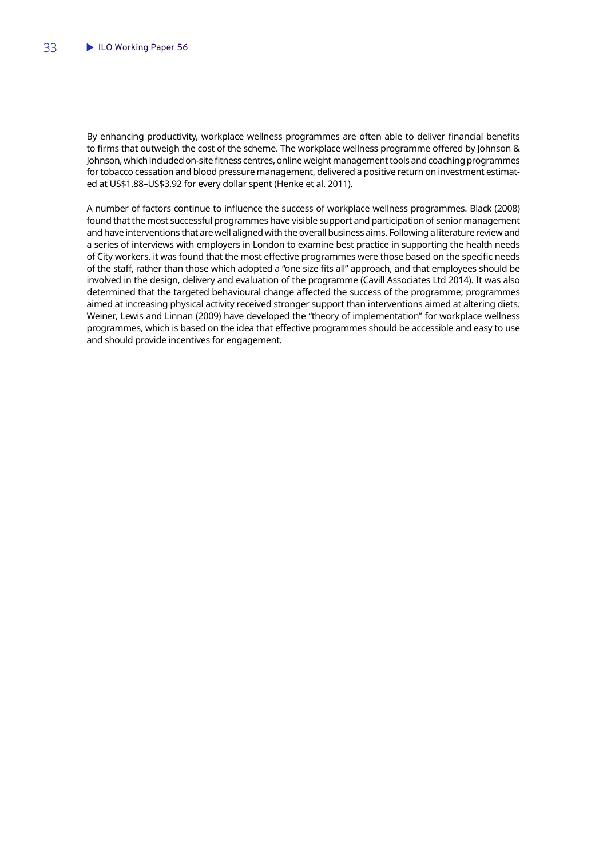By enhancing productivity, workplace wellness programmes are often able to deliver financial benefits to firms that outweigh the cost of the scheme. The workplace wellness programme offered by Johnson & Johnson, which included on-site fitness centres, online weight management tools and coaching programmes for tobacco cessation and blood pressure management, delivered a positive return on investment estimated at US\$1.88–US\$3.92 for every dollar spent (Henke et al. 2011).

A number of factors continue to influence the success of workplace wellness programmes. Black (2008) found that the most successful programmes have visible support and participation of senior management and have interventions that are well aligned with the overall business aims. Following a literature review and a series of interviews with employers in London to examine best practice in supporting the health needs of City workers, it was found that the most effective programmes were those based on the specific needs of the staff, rather than those which adopted a "one size fits all" approach, and that employees should be involved in the design, delivery and evaluation of the programme (Cavill Associates Ltd 2014). It was also determined that the targeted behavioural change affected the success of the programme; programmes aimed at increasing physical activity received stronger support than interventions aimed at altering diets. Weiner, Lewis and Linnan (2009) have developed the "theory of implementation" for workplace wellness programmes, which is based on the idea that effective programmes should be accessible and easy to use and should provide incentives for engagement.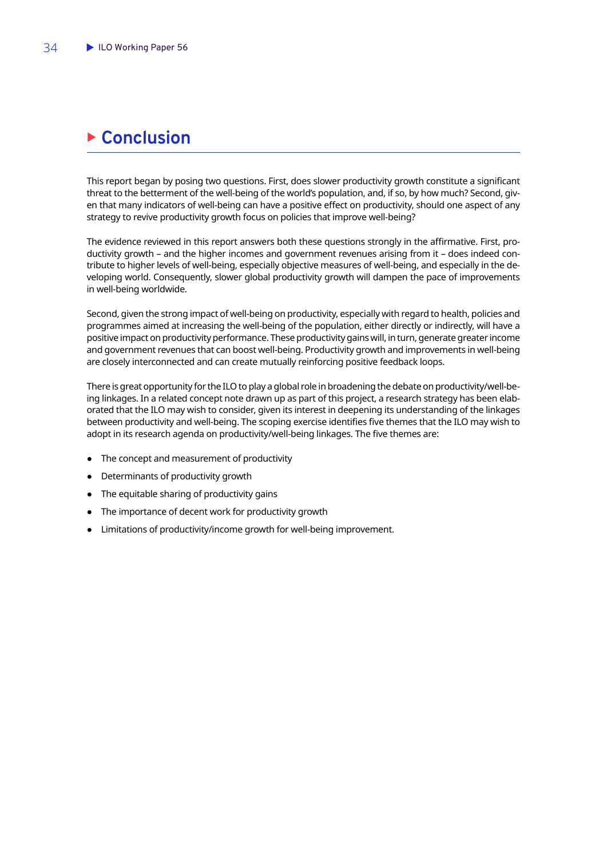## <span id="page-35-0"></span>**Example 2 Conclusion**

This report began by posing two questions. First, does slower productivity growth constitute a significant threat to the betterment of the well-being of the world's population, and, if so, by how much? Second, given that many indicators of well-being can have a positive effect on productivity, should one aspect of any strategy to revive productivity growth focus on policies that improve well-being?

The evidence reviewed in this report answers both these questions strongly in the affirmative. First, productivity growth – and the higher incomes and government revenues arising from it – does indeed contribute to higher levels of well-being, especially objective measures of well-being, and especially in the developing world. Consequently, slower global productivity growth will dampen the pace of improvements in well-being worldwide.

Second, given the strong impact of well-being on productivity, especially with regard to health, policies and programmes aimed at increasing the well-being of the population, either directly or indirectly, will have a positive impact on productivity performance. These productivity gains will, in turn, generate greater income and government revenues that can boost well-being. Productivity growth and improvements in well-being are closely interconnected and can create mutually reinforcing positive feedback loops.

There is great opportunity for the ILO to play a global role in broadening the debate on productivity/well-being linkages. In a related concept note drawn up as part of this project, a research strategy has been elaborated that the ILO may wish to consider, given its interest in deepening its understanding of the linkages between productivity and well-being. The scoping exercise identifies five themes that the ILO may wish to adopt in its research agenda on productivity/well-being linkages. The five themes are:

- The concept and measurement of productivity
- Determinants of productivity growth
- The equitable sharing of productivity gains
- The importance of decent work for productivity growth
- Limitations of productivity/income growth for well-being improvement.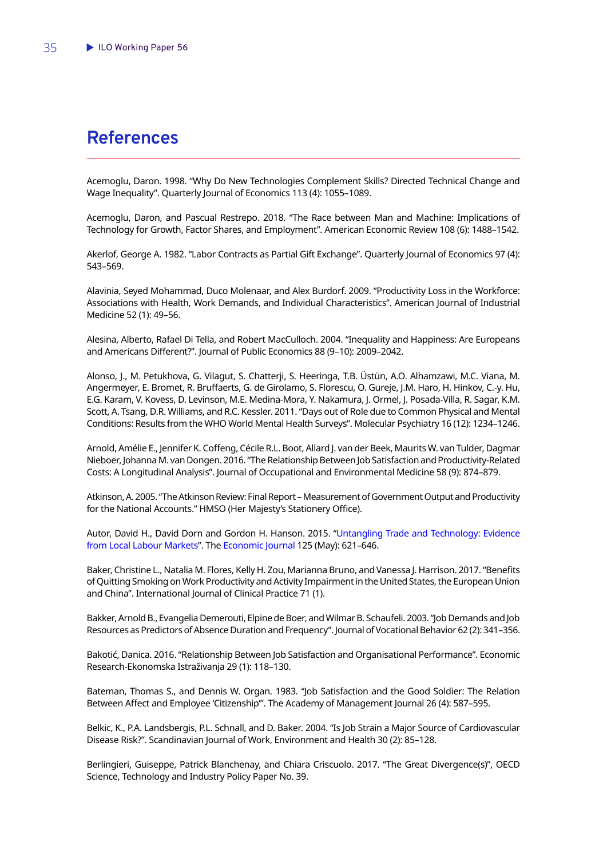## <span id="page-36-0"></span>**References**

Acemoglu, Daron. 1998. "Why Do New Technologies Complement Skills? Directed Technical Change and Wage Inequality". Quarterly Journal of Economics 113 (4): 1055–1089.

Acemoglu, Daron, and Pascual Restrepo. 2018. "The Race between Man and Machine: Implications of Technology for Growth, Factor Shares, and Employment". American Economic Review 108 (6): 1488–1542.

Akerlof, George A. 1982. "Labor Contracts as Partial Gift Exchange". Quarterly Journal of Economics 97 (4): 543–569.

Alavinia, Seyed Mohammad, Duco Molenaar, and Alex Burdorf. 2009. "Productivity Loss in the Workforce: Associations with Health, Work Demands, and Individual Characteristics". American Journal of Industrial Medicine 52 (1): 49–56.

Alesina, Alberto, Rafael Di Tella, and Robert MacCulloch. 2004. "Inequality and Happiness: Are Europeans and Americans Different?". Journal of Public Economics 88 (9–10): 2009–2042.

Alonso, J., M. Petukhova, G. Vilagut, S. Chatterji, S. Heeringa, T.B. Üstün, A.O. Alhamzawi, M.C. Viana, M. Angermeyer, E. Bromet, R. Bruffaerts, G. de Girolamo, S. Florescu, O. Gureje, J.M. Haro, H. Hinkov, C.-y. Hu, E.G. Karam, V. Kovess, D. Levinson, M.E. Medina-Mora, Y. Nakamura, J. Ormel, J. Posada-Villa, R. Sagar, K.M. Scott, A. Tsang, D.R. Williams, and R.C. Kessler. 2011. "Days out of Role due to Common Physical and Mental Conditions: Results from the WHO World Mental Health Surveys". Molecular Psychiatry 16 (12): 1234–1246.

Arnold, Amélie E., Jennifer K. Coffeng, Cécile R.L. Boot, Allard J. van der Beek, Maurits W. van Tulder, Dagmar Nieboer, Johanna M. van Dongen. 2016. "The Relationship Between Job Satisfaction and Productivity-Related Costs: A Longitudinal Analysis". Journal of Occupational and Environmental Medicine 58 (9): 874–879.

Atkinson, A. 2005. "The Atkinson Review: Final Report – Measurement of Government Output and Productivity for the National Accounts." HMSO (Her Majesty's Stationery Office).

Autor, David H., David Dorn and Gordon H. Hanson. 2015. "[Untangling Trade and Technology: Evidence](https://ideas.repec.org/a/wly/econjl/vy2015i584p621-646.html)  [from Local Labour Markets](https://ideas.repec.org/a/wly/econjl/vy2015i584p621-646.html)". The [Economic Journal](https://ideas.repec.org/s/wly/econjl.html) 125 (May): 621–646.

Baker, Christine L., Natalia M. Flores, Kelly H. Zou, Marianna Bruno, and Vanessa J. Harrison. 2017. "Benefits of Quitting Smoking on Work Productivity and Activity Impairment in the United States, the European Union and China". International Journal of Clinical Practice 71 (1).

Bakker, Arnold B., Evangelia Demerouti, Elpine de Boer, and Wilmar B. Schaufeli. 2003. "Job Demands and Job Resources as Predictors of Absence Duration and Frequency". Journal of Vocational Behavior 62 (2): 341–356.

Bakotić, Danica. 2016. "Relationship Between Job Satisfaction and Organisational Performance". Economic Research-Ekonomska Istraživanja 29 (1): 118–130.

Bateman, Thomas S., and Dennis W. Organ. 1983. "Job Satisfaction and the Good Soldier: The Relation Between Affect and Employee 'Citizenship'". The Academy of Management Journal 26 (4): 587–595.

Belkic, K., P.A. Landsbergis, P.L. Schnall, and D. Baker. 2004. "Is Job Strain a Major Source of Cardiovascular Disease Risk?". Scandinavian Journal of Work, Environment and Health 30 (2): 85–128.

Berlingieri, Guiseppe, Patrick Blanchenay, and Chiara Criscuolo. 2017. "The Great Divergence(s)", OECD Science, Technology and Industry Policy Paper No. 39.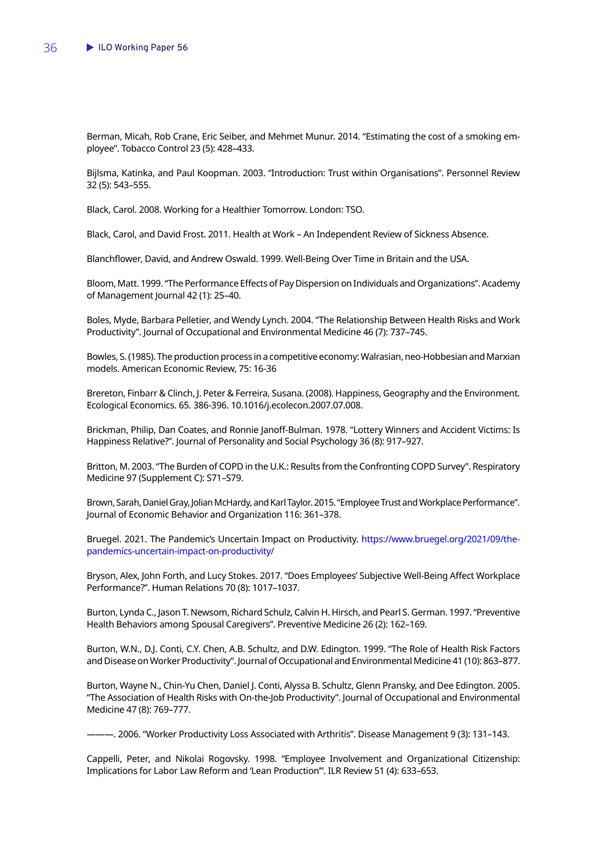Berman, Micah, Rob Crane, Eric Seiber, and Mehmet Munur. 2014. "Estimating the cost of a smoking employee". Tobacco Control 23 (5): 428–433.

Bijlsma, Katinka, and Paul Koopman. 2003. "Introduction: Trust within Organisations". Personnel Review 32 (5): 543–555.

Black, Carol. 2008. Working for a Healthier Tomorrow. London: TSO.

Black, Carol, and David Frost. 2011. Health at Work – An Independent Review of Sickness Absence.

Blanchflower, David, and Andrew Oswald. 1999. Well-Being Over Time in Britain and the USA.

Bloom, Matt. 1999. "The Performance Effects of Pay Dispersion on Individuals and Organizations". Academy of Management Journal 42 (1): 25–40.

Boles, Myde, Barbara Pelletier, and Wendy Lynch. 2004. "The Relationship Between Health Risks and Work Productivity". Journal of Occupational and Environmental Medicine 46 (7): 737–745.

Bowles, S. (1985). The production process in a competitive economy: Walrasian, neo-Hobbesian and Marxian models. American Economic Review, 75: 16-36

Brereton, Finbarr & Clinch, J. Peter & Ferreira, Susana. (2008). Happiness, Geography and the Environment. Ecological Economics. 65. 386-396. 10.1016/j.ecolecon.2007.07.008.

Brickman, Philip, Dan Coates, and Ronnie Janoff-Bulman. 1978. "Lottery Winners and Accident Victims: Is Happiness Relative?". Journal of Personality and Social Psychology 36 (8): 917–927.

Britton, M. 2003. "The Burden of COPD in the U.K.: Results from the Confronting COPD Survey". Respiratory Medicine 97 (Supplement C): S71–S79.

Brown, Sarah, Daniel Gray, Jolian McHardy, and Karl Taylor. 2015. "Employee Trust and Workplace Performance". Journal of Economic Behavior and Organization 116: 361–378.

Bruegel. 2021. The Pandemic's Uncertain Impact on Productivity. [https://www.bruegel.org/2021/09/the](https://www.bruegel.org/2021/09/the-pandemics-uncertain-impact-on-productivity/)[pandemics-uncertain-impact-on-productivity/](https://www.bruegel.org/2021/09/the-pandemics-uncertain-impact-on-productivity/)

Bryson, Alex, John Forth, and Lucy Stokes. 2017. "Does Employees' Subjective Well-Being Affect Workplace Performance?". Human Relations 70 (8): 1017–1037.

Burton, Lynda C., Jason T. Newsom, Richard Schulz, Calvin H. Hirsch, and Pearl S. German. 1997. "Preventive Health Behaviors among Spousal Caregivers". Preventive Medicine 26 (2): 162–169.

Burton, W.N., D.J. Conti, C.Y. Chen, A.B. Schultz, and D.W. Edington. 1999. "The Role of Health Risk Factors and Disease on Worker Productivity". Journal of Occupational and Environmental Medicine 41 (10): 863–877.

Burton, Wayne N., Chin-Yu Chen, Daniel J. Conti, Alyssa B. Schultz, Glenn Pransky, and Dee Edington. 2005. "The Association of Health Risks with On-the-Job Productivity". Journal of Occupational and Environmental Medicine 47 (8): 769–777.

———. 2006. "Worker Productivity Loss Associated with Arthritis". Disease Management 9 (3): 131–143.

Cappelli, Peter, and Nikolai Rogovsky. 1998. "Employee Involvement and Organizational Citizenship: Implications for Labor Law Reform and 'Lean Production'". ILR Review 51 (4): 633–653.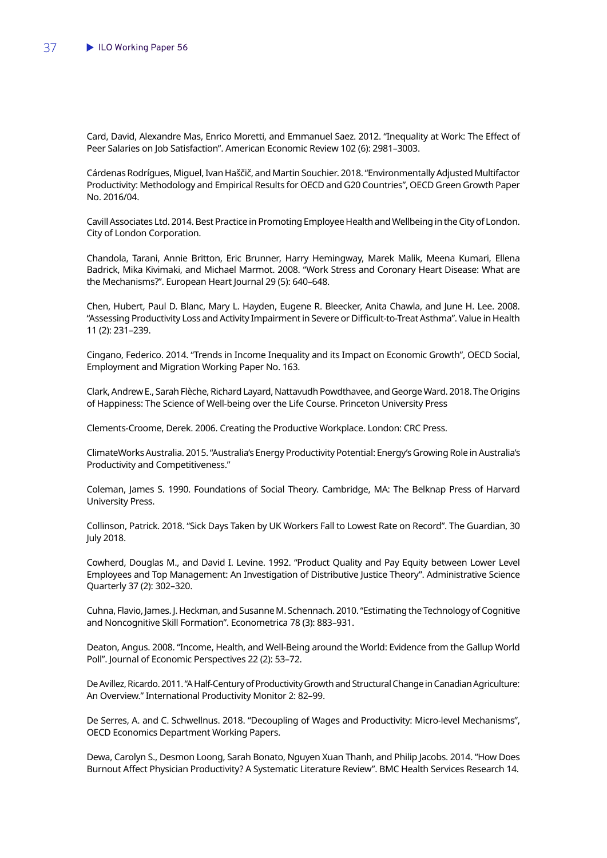Card, David, Alexandre Mas, Enrico Moretti, and Emmanuel Saez. 2012. "Inequality at Work: The Effect of Peer Salaries on Job Satisfaction". American Economic Review 102 (6): 2981–3003.

Cárdenas Rodrígues, Miguel, Ivan Haščič, and Martin Souchier. 2018. "Environmentally Adjusted Multifactor Productivity: Methodology and Empirical Results for OECD and G20 Countries", OECD Green Growth Paper No. 2016/04.

Cavill Associates Ltd. 2014. Best Practice in Promoting Employee Health and Wellbeing in the City of London. City of London Corporation.

Chandola, Tarani, Annie Britton, Eric Brunner, Harry Hemingway, Marek Malik, Meena Kumari, Ellena Badrick, Mika Kivimaki, and Michael Marmot. 2008. "Work Stress and Coronary Heart Disease: What are the Mechanisms?". European Heart Journal 29 (5): 640–648.

Chen, Hubert, Paul D. Blanc, Mary L. Hayden, Eugene R. Bleecker, Anita Chawla, and June H. Lee. 2008. "Assessing Productivity Loss and Activity Impairment in Severe or Difficult-to-Treat Asthma". Value in Health 11 (2): 231–239.

Cingano, Federico. 2014. "Trends in Income Inequality and its Impact on Economic Growth", OECD Social, Employment and Migration Working Paper No. 163.

Clark, Andrew E., Sarah Flèche, Richard Layard, Nattavudh Powdthavee, and George Ward. 2018. The Origins of Happiness: The Science of Well-being over the Life Course. Princeton University Press

Clements-Croome, Derek. 2006. Creating the Productive Workplace. London: CRC Press.

ClimateWorks Australia. 2015. "Australia's Energy Productivity Potential: Energy's Growing Role in Australia's Productivity and Competitiveness."

Coleman, James S. 1990. Foundations of Social Theory. Cambridge, MA: The Belknap Press of Harvard University Press.

Collinson, Patrick. 2018. "Sick Days Taken by UK Workers Fall to Lowest Rate on Record". The Guardian, 30 July 2018.

Cowherd, Douglas M., and David I. Levine. 1992. "Product Quality and Pay Equity between Lower Level Employees and Top Management: An Investigation of Distributive Justice Theory". Administrative Science Quarterly 37 (2): 302–320.

Cuhna, Flavio, James. J. Heckman, and Susanne M. Schennach. 2010. "Estimating the Technology of Cognitive and Noncognitive Skill Formation". Econometrica 78 (3): 883–931.

Deaton, Angus. 2008. "Income, Health, and Well-Being around the World: Evidence from the Gallup World Poll". Journal of Economic Perspectives 22 (2): 53–72.

De Avillez, Ricardo. 2011. "A Half-Century of Productivity Growth and Structural Change in Canadian Agriculture: An Overview." International Productivity Monitor 2: 82–99.

De Serres, A. and C. Schwellnus. 2018. "Decoupling of Wages and Productivity: Micro-level Mechanisms", OECD Economics Department Working Papers.

Dewa, Carolyn S., Desmon Loong, Sarah Bonato, Nguyen Xuan Thanh, and Philip Jacobs. 2014. "How Does Burnout Affect Physician Productivity? A Systematic Literature Review". BMC Health Services Research 14.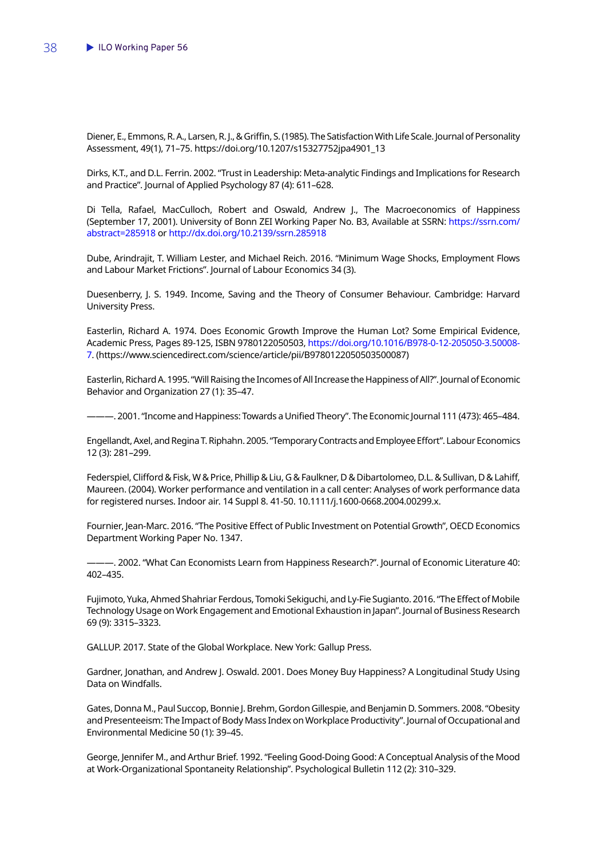Diener, E., Emmons, R. A., Larsen, R. J., & Griffin, S. (1985). The Satisfaction With Life Scale. Journal of Personality Assessment, 49(1), 71–75. https://doi.org/10.1207/s15327752jpa4901\_13

Dirks, K.T., and D.L. Ferrin. 2002. "Trust in Leadership: Meta-analytic Findings and Implications for Research and Practice". Journal of Applied Psychology 87 (4): 611–628.

Di Tella, Rafael, MacCulloch, Robert and Oswald, Andrew J., The Macroeconomics of Happiness (September 17, 2001). University of Bonn ZEI Working Paper No. B3, Available at SSRN: [https://ssrn.com/](https://ssrn.com/abstract=285918) [abstract=285918](https://ssrn.com/abstract=285918) or [http://dx.doi.org/10.2139/ssrn.285918](https://dx.doi.org/10.2139/ssrn.285918)

Dube, Arindrajit, T. William Lester, and Michael Reich. 2016. "Minimum Wage Shocks, Employment Flows and Labour Market Frictions". Journal of Labour Economics 34 (3).

Duesenberry, J. S. 1949. Income, Saving and the Theory of Consumer Behaviour. Cambridge: Harvard University Press.

Easterlin, Richard A. 1974. Does Economic Growth Improve the Human Lot? Some Empirical Evidence, Academic Press, Pages 89-125, ISBN 9780122050503, [https://doi.org/10.1016/B978-0-12-205050-3.50008-](https://doi.org/10.1016/B978-0-12-205050-3.50008-7) [7](https://doi.org/10.1016/B978-0-12-205050-3.50008-7). (https://www.sciencedirect.com/science/article/pii/B9780122050503500087)

Easterlin, Richard A. 1995. "Will Raising the Incomes of All Increase the Happiness of All?". Journal of Economic Behavior and Organization 27 (1): 35–47.

———. 2001. "Income and Happiness: Towards a Unified Theory". The Economic Journal 111 (473): 465–484.

Engellandt, Axel, and Regina T. Riphahn. 2005. "Temporary Contracts and Employee Effort". Labour Economics 12 (3): 281–299.

Federspiel, Clifford & Fisk, W & Price, Phillip & Liu, G & Faulkner, D & Dibartolomeo, D.L. & Sullivan, D & Lahiff, Maureen. (2004). Worker performance and ventilation in a call center: Analyses of work performance data for registered nurses. Indoor air. 14 Suppl 8. 41-50. 10.1111/j.1600-0668.2004.00299.x.

Fournier, Jean-Marc. 2016. "The Positive Effect of Public Investment on Potential Growth", OECD Economics Department Working Paper No. 1347.

———. 2002. "What Can Economists Learn from Happiness Research?". Journal of Economic Literature 40: 402–435.

Fujimoto, Yuka, Ahmed Shahriar Ferdous, Tomoki Sekiguchi, and Ly-Fie Sugianto. 2016. "The Effect of Mobile Technology Usage on Work Engagement and Emotional Exhaustion in Japan". Journal of Business Research 69 (9): 3315–3323.

GALLUP. 2017. State of the Global Workplace. New York: Gallup Press.

Gardner, Jonathan, and Andrew J. Oswald. 2001. Does Money Buy Happiness? A Longitudinal Study Using Data on Windfalls.

Gates, Donna M., Paul Succop, Bonnie J. Brehm, Gordon Gillespie, and Benjamin D. Sommers. 2008. "Obesity and Presenteeism: The Impact of Body Mass Index on Workplace Productivity". Journal of Occupational and Environmental Medicine 50 (1): 39–45.

George, Jennifer M., and Arthur Brief. 1992. "Feeling Good-Doing Good: A Conceptual Analysis of the Mood at Work-Organizational Spontaneity Relationship". Psychological Bulletin 112 (2): 310–329.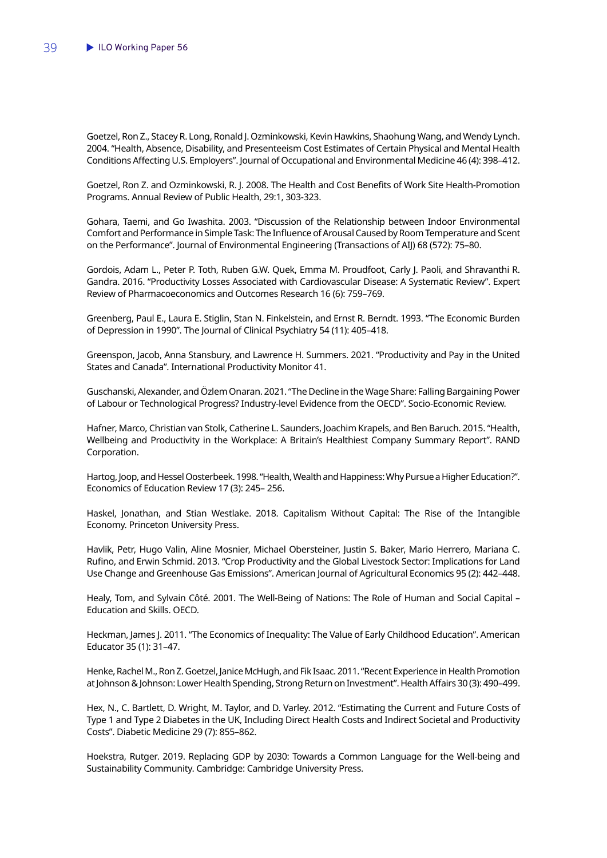Goetzel, Ron Z., Stacey R. Long, Ronald J. Ozminkowski, Kevin Hawkins, Shaohung Wang, and Wendy Lynch. 2004. "Health, Absence, Disability, and Presenteeism Cost Estimates of Certain Physical and Mental Health Conditions Affecting U.S. Employers". Journal of Occupational and Environmental Medicine 46 (4): 398–412.

Goetzel, Ron Z. and Ozminkowski, R. J. 2008. The Health and Cost Benefits of Work Site Health-Promotion Programs. Annual Review of Public Health, 29:1, 303-323.

Gohara, Taemi, and Go Iwashita. 2003. "Discussion of the Relationship between Indoor Environmental Comfort and Performance in Simple Task: The Influence of Arousal Caused by Room Temperature and Scent on the Performance". Journal of Environmental Engineering (Transactions of AIJ) 68 (572): 75–80.

Gordois, Adam L., Peter P. Toth, Ruben G.W. Quek, Emma M. Proudfoot, Carly J. Paoli, and Shravanthi R. Gandra. 2016. "Productivity Losses Associated with Cardiovascular Disease: A Systematic Review". Expert Review of Pharmacoeconomics and Outcomes Research 16 (6): 759–769.

Greenberg, Paul E., Laura E. Stiglin, Stan N. Finkelstein, and Ernst R. Berndt. 1993. "The Economic Burden of Depression in 1990". The Journal of Clinical Psychiatry 54 (11): 405–418.

Greenspon, Jacob, Anna Stansbury, and Lawrence H. Summers. 2021. "Productivity and Pay in the United States and Canada". International Productivity Monitor 41.

Guschanski, Alexander, and Özlem Onaran. 2021. "The Decline in the Wage Share: Falling Bargaining Power of Labour or Technological Progress? Industry-level Evidence from the OECD". Socio-Economic Review.

Hafner, Marco, Christian van Stolk, Catherine L. Saunders, Joachim Krapels, and Ben Baruch. 2015. "Health, Wellbeing and Productivity in the Workplace: A Britain's Healthiest Company Summary Report". RAND Corporation.

Hartog, Joop, and Hessel Oosterbeek. 1998. "Health, Wealth and Happiness: Why Pursue a Higher Education?". Economics of Education Review 17 (3): 245– 256.

Haskel, Jonathan, and Stian Westlake. 2018. Capitalism Without Capital: The Rise of the Intangible Economy. Princeton University Press.

Havlik, Petr, Hugo Valin, Aline Mosnier, Michael Obersteiner, Justin S. Baker, Mario Herrero, Mariana C. Rufino, and Erwin Schmid. 2013. "Crop Productivity and the Global Livestock Sector: Implications for Land Use Change and Greenhouse Gas Emissions". American Journal of Agricultural Economics 95 (2): 442–448.

Healy, Tom, and Sylvain Côté. 2001. The Well-Being of Nations: The Role of Human and Social Capital – Education and Skills. OECD.

Heckman, James J. 2011. "The Economics of Inequality: The Value of Early Childhood Education". American Educator 35 (1): 31–47.

Henke, Rachel M., Ron Z. Goetzel, Janice McHugh, and Fik Isaac. 2011. "Recent Experience in Health Promotion at Johnson & Johnson: Lower Health Spending, Strong Return on Investment". Health Affairs 30 (3): 490–499.

Hex, N., C. Bartlett, D. Wright, M. Taylor, and D. Varley. 2012. "Estimating the Current and Future Costs of Type 1 and Type 2 Diabetes in the UK, Including Direct Health Costs and Indirect Societal and Productivity Costs". Diabetic Medicine 29 (7): 855–862.

Hoekstra, Rutger. 2019. Replacing GDP by 2030: Towards a Common Language for the Well-being and Sustainability Community. Cambridge: Cambridge University Press.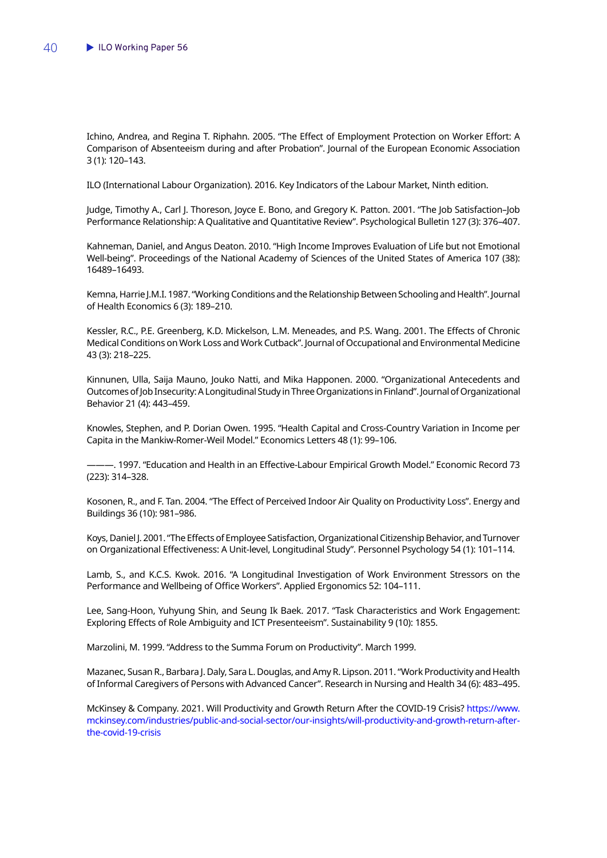Ichino, Andrea, and Regina T. Riphahn. 2005. "The Effect of Employment Protection on Worker Effort: A Comparison of Absenteeism during and after Probation". Journal of the European Economic Association 3 (1): 120–143.

ILO (International Labour Organization). 2016. Key Indicators of the Labour Market, Ninth edition.

Judge, Timothy A., Carl J. Thoreson, Joyce E. Bono, and Gregory K. Patton. 2001. "The Job Satisfaction–Job Performance Relationship: A Qualitative and Quantitative Review". Psychological Bulletin 127 (3): 376–407.

Kahneman, Daniel, and Angus Deaton. 2010. "High Income Improves Evaluation of Life but not Emotional Well-being". Proceedings of the National Academy of Sciences of the United States of America 107 (38): 16489–16493.

Kemna, Harrie J.M.I. 1987. "Working Conditions and the Relationship Between Schooling and Health". Journal of Health Economics 6 (3): 189–210.

Kessler, R.C., P.E. Greenberg, K.D. Mickelson, L.M. Meneades, and P.S. Wang. 2001. The Effects of Chronic Medical Conditions on Work Loss and Work Cutback". Journal of Occupational and Environmental Medicine 43 (3): 218–225.

Kinnunen, Ulla, Saija Mauno, Jouko Natti, and Mika Happonen. 2000. "Organizational Antecedents and Outcomes of Job Insecurity: A Longitudinal Study in Three Organizations in Finland". Journal of Organizational Behavior 21 (4): 443–459.

Knowles, Stephen, and P. Dorian Owen. 1995. "Health Capital and Cross-Country Variation in Income per Capita in the Mankiw-Romer-Weil Model." Economics Letters 48 (1): 99–106.

———. 1997. "Education and Health in an Effective-Labour Empirical Growth Model." Economic Record 73 (223): 314–328.

Kosonen, R., and F. Tan. 2004. "The Effect of Perceived Indoor Air Quality on Productivity Loss". Energy and Buildings 36 (10): 981–986.

Koys, Daniel J. 2001. "The Effects of Employee Satisfaction, Organizational Citizenship Behavior, and Turnover on Organizational Effectiveness: A Unit-level, Longitudinal Study". Personnel Psychology 54 (1): 101–114.

Lamb, S., and K.C.S. Kwok. 2016. "A Longitudinal Investigation of Work Environment Stressors on the Performance and Wellbeing of Office Workers". Applied Ergonomics 52: 104–111.

Lee, Sang-Hoon, Yuhyung Shin, and Seung Ik Baek. 2017. "Task Characteristics and Work Engagement: Exploring Effects of Role Ambiguity and ICT Presenteeism". Sustainability 9 (10): 1855.

Marzolini, M. 1999. "Address to the Summa Forum on Productivity". March 1999.

Mazanec, Susan R., Barbara J. Daly, Sara L. Douglas, and Amy R. Lipson. 2011. "Work Productivity and Health of Informal Caregivers of Persons with Advanced Cancer". Research in Nursing and Health 34 (6): 483–495.

McKinsey & Company. 2021. Will Productivity and Growth Return After the COVID-19 Crisis? [https://www.](https://www.mckinsey.com/industries/public-and-social-sector/our-insights/will-productivity-and-growth-return-after-the-covid-19-crisis) [mckinsey.com/industries/public-and-social-sector/our-insights/will-productivity-and-growth-return-after](https://www.mckinsey.com/industries/public-and-social-sector/our-insights/will-productivity-and-growth-return-after-the-covid-19-crisis)[the-covid-19-crisis](https://www.mckinsey.com/industries/public-and-social-sector/our-insights/will-productivity-and-growth-return-after-the-covid-19-crisis)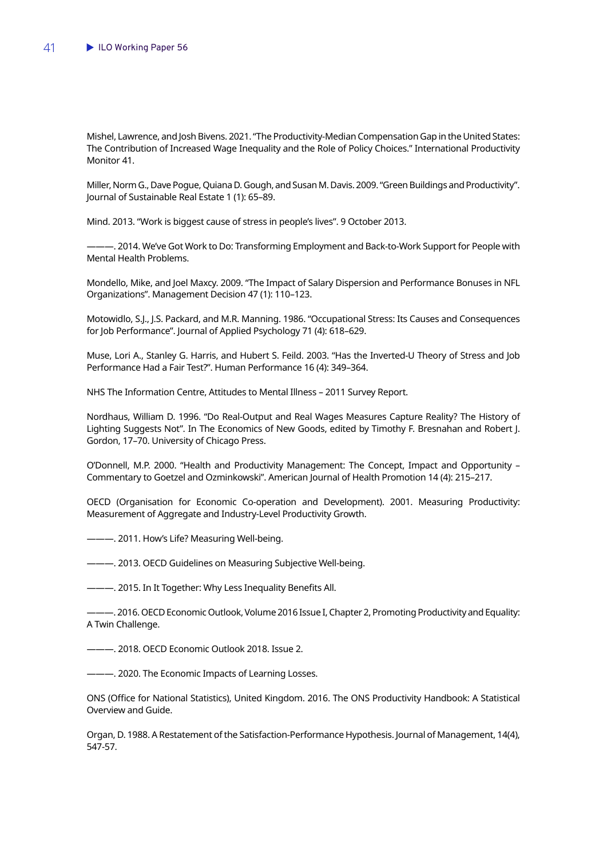Mishel, Lawrence, and Josh Bivens. 2021. "The Productivity-Median Compensation Gap in the United States: The Contribution of Increased Wage Inequality and the Role of Policy Choices." International Productivity Monitor 41.

Miller, Norm G., Dave Pogue, Quiana D. Gough, and Susan M. Davis. 2009. "Green Buildings and Productivity". Journal of Sustainable Real Estate 1 (1): 65–89.

Mind. 2013. "Work is biggest cause of stress in people's lives". 9 October 2013.

———. 2014. We've Got Work to Do: Transforming Employment and Back-to-Work Support for People with Mental Health Problems.

Mondello, Mike, and Joel Maxcy. 2009. "The Impact of Salary Dispersion and Performance Bonuses in NFL Organizations". Management Decision 47 (1): 110–123.

Motowidlo, S.J., J.S. Packard, and M.R. Manning. 1986. "Occupational Stress: Its Causes and Consequences for Job Performance". Journal of Applied Psychology 71 (4): 618–629.

Muse, Lori A., Stanley G. Harris, and Hubert S. Feild. 2003. "Has the Inverted-U Theory of Stress and Job Performance Had a Fair Test?". Human Performance 16 (4): 349–364.

NHS The Information Centre, Attitudes to Mental Illness – 2011 Survey Report.

Nordhaus, William D. 1996. "Do Real-Output and Real Wages Measures Capture Reality? The History of Lighting Suggests Not". In The Economics of New Goods, edited by Timothy F. Bresnahan and Robert J. Gordon, 17–70. University of Chicago Press.

O'Donnell, M.P. 2000. "Health and Productivity Management: The Concept, Impact and Opportunity – Commentary to Goetzel and Ozminkowski". American Journal of Health Promotion 14 (4): 215–217.

OECD (Organisation for Economic Co-operation and Development). 2001. Measuring Productivity: Measurement of Aggregate and Industry-Level Productivity Growth.

--. 2011. How's Life? Measuring Well-being.

———. 2013. OECD Guidelines on Measuring Subjective Well-being.

———. 2015. In It Together: Why Less Inequality Benefits All.

———. 2016. OECD Economic Outlook, Volume 2016 Issue I, Chapter 2, Promoting Productivity and Equality: A Twin Challenge.

———. 2018. OECD Economic Outlook 2018. Issue 2.

———. 2020. The Economic Impacts of Learning Losses.

ONS (Office for National Statistics), United Kingdom. 2016. The ONS Productivity Handbook: A Statistical Overview and Guide.

Organ, D. 1988. A Restatement of the Satisfaction-Performance Hypothesis. Journal of Management, 14(4), 547-57.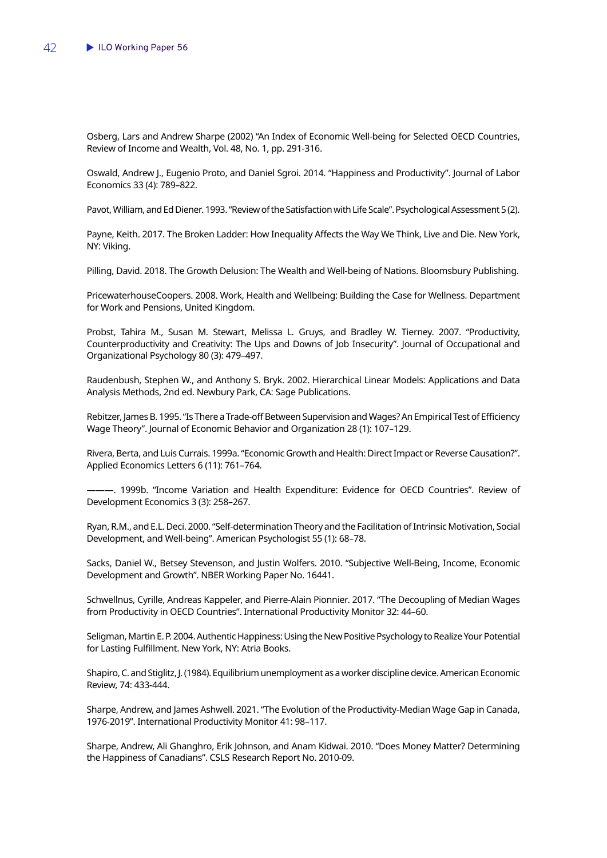Osberg, Lars and Andrew Sharpe (2002) "An Index of Economic Well-being for Selected OECD Countries, Review of Income and Wealth, Vol. 48, No. 1, pp. 291-316.

Oswald, Andrew J., Eugenio Proto, and Daniel Sgroi. 2014. "Happiness and Productivity". Journal of Labor Economics 33 (4): 789–822.

Pavot, William, and Ed Diener. 1993. "Review of the Satisfaction with Life Scale". Psychological Assessment 5 (2).

Payne, Keith. 2017. The Broken Ladder: How Inequality Affects the Way We Think, Live and Die. New York, NY: Viking.

Pilling, David. 2018. The Growth Delusion: The Wealth and Well-being of Nations. Bloomsbury Publishing.

PricewaterhouseCoopers. 2008. Work, Health and Wellbeing: Building the Case for Wellness. Department for Work and Pensions, United Kingdom.

Probst, Tahira M., Susan M. Stewart, Melissa L. Gruys, and Bradley W. Tierney. 2007. "Productivity, Counterproductivity and Creativity: The Ups and Downs of Job Insecurity". Journal of Occupational and Organizational Psychology 80 (3): 479–497.

Raudenbush, Stephen W., and Anthony S. Bryk. 2002. Hierarchical Linear Models: Applications and Data Analysis Methods, 2nd ed. Newbury Park, CA: Sage Publications.

Rebitzer, James B. 1995. "Is There a Trade-off Between Supervision and Wages? An Empirical Test of Efficiency Wage Theory". Journal of Economic Behavior and Organization 28 (1): 107–129.

Rivera, Berta, and Luis Currais. 1999a. "Economic Growth and Health: Direct Impact or Reverse Causation?". Applied Economics Letters 6 (11): 761–764.

———. 1999b. "Income Variation and Health Expenditure: Evidence for OECD Countries". Review of Development Economics 3 (3): 258–267.

Ryan, R.M., and E.L. Deci. 2000. "Self-determination Theory and the Facilitation of Intrinsic Motivation, Social Development, and Well-being". American Psychologist 55 (1): 68–78.

Sacks, Daniel W., Betsey Stevenson, and Justin Wolfers. 2010. "Subjective Well-Being, Income, Economic Development and Growth". NBER Working Paper No. 16441.

Schwellnus, Cyrille, Andreas Kappeler, and Pierre-Alain Pionnier. 2017. "The Decoupling of Median Wages from Productivity in OECD Countries". International Productivity Monitor 32: 44–60.

Seligman, Martin E. P. 2004. Authentic Happiness: Using the New Positive Psychology to Realize Your Potential for Lasting Fulfillment. New York, NY: Atria Books.

Shapiro, C. and Stiglitz, J. (1984). Equilibrium unemployment as a worker discipline device. American Economic Review, 74: 433-444.

Sharpe, Andrew, and James Ashwell. 2021. "The Evolution of the Productivity-Median Wage Gap in Canada, 1976-2019". International Productivity Monitor 41: 98–117.

Sharpe, Andrew, Ali Ghanghro, Erik Johnson, and Anam Kidwai. 2010. "Does Money Matter? Determining the Happiness of Canadians". CSLS Research Report No. 2010-09.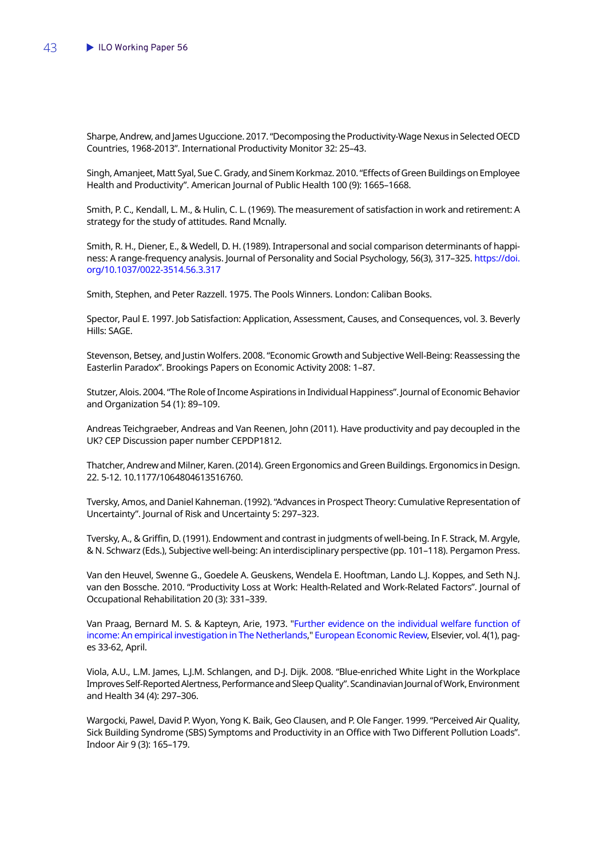Sharpe, Andrew, and James Uguccione. 2017. "Decomposing the Productivity-Wage Nexus in Selected OECD Countries, 1968-2013". International Productivity Monitor 32: 25–43.

Singh, Amanjeet, Matt Syal, Sue C. Grady, and Sinem Korkmaz. 2010. "Effects of Green Buildings on Employee Health and Productivity". American Journal of Public Health 100 (9): 1665–1668.

Smith, P. C., Kendall, L. M., & Hulin, C. L. (1969). The measurement of satisfaction in work and retirement: A strategy for the study of attitudes. Rand Mcnally.

Smith, R. H., Diener, E., & Wedell, D. H. (1989). Intrapersonal and social comparison determinants of happiness: A range-frequency analysis. Journal of Personality and Social Psychology, 56(3), 317-325. [https://doi.](https://psycnet.apa.org/doi/10.1037/0022-3514.56.3.317) [org/10.1037/0022-3514.56.3.317](https://psycnet.apa.org/doi/10.1037/0022-3514.56.3.317)

Smith, Stephen, and Peter Razzell. 1975. The Pools Winners. London: Caliban Books.

Spector, Paul E. 1997. Job Satisfaction: Application, Assessment, Causes, and Consequences, vol. 3. Beverly Hills: SAGE.

Stevenson, Betsey, and Justin Wolfers. 2008. "Economic Growth and Subjective Well-Being: Reassessing the Easterlin Paradox". Brookings Papers on Economic Activity 2008: 1–87.

Stutzer, Alois. 2004. "The Role of Income Aspirations in Individual Happiness". Journal of Economic Behavior and Organization 54 (1): 89–109.

Andreas Teichgraeber, Andreas and Van Reenen, John (2011). Have productivity and pay decoupled in the UK? CEP Discussion paper number CEPDP1812.

Thatcher, Andrew and Milner, Karen. (2014). Green Ergonomics and Green Buildings. Ergonomics in Design. 22. 5-12. 10.1177/1064804613516760.

Tversky, Amos, and Daniel Kahneman. (1992). "Advances in Prospect Theory: Cumulative Representation of Uncertainty". Journal of Risk and Uncertainty 5: 297–323.

Tversky, A., & Griffin, D. (1991). Endowment and contrast in judgments of well-being. In F. Strack, M. Argyle, & N. Schwarz (Eds.), Subjective well-being: An interdisciplinary perspective (pp. 101–118). Pergamon Press.

Van den Heuvel, Swenne G., Goedele A. Geuskens, Wendela E. Hooftman, Lando L.J. Koppes, and Seth N.J. van den Bossche. 2010. "Productivity Loss at Work: Health-Related and Work-Related Factors". Journal of Occupational Rehabilitation 20 (3): 331–339.

Van Praag, Bernard M. S. & Kapteyn, Arie, 1973. ["Further evidence on the individual welfare function of](https://ideas.repec.org/a/eee/eecrev/v4y1973i1p33-62.html)  [income: An empirical investigation in The Netherlands](https://ideas.repec.org/a/eee/eecrev/v4y1973i1p33-62.html)," [European Economic Review,](https://ideas.repec.org/s/eee/eecrev.html) Elsevier, vol. 4(1), pages 33-62, April.

Viola, A.U., L.M. James, L.J.M. Schlangen, and D-J. Dijk. 2008. "Blue-enriched White Light in the Workplace Improves Self-Reported Alertness, Performance and Sleep Quality". Scandinavian Journal of Work, Environment and Health 34 (4): 297–306.

Wargocki, Pawel, David P. Wyon, Yong K. Baik, Geo Clausen, and P. Ole Fanger. 1999. "Perceived Air Quality, Sick Building Syndrome (SBS) Symptoms and Productivity in an Office with Two Different Pollution Loads". Indoor Air 9 (3): 165–179.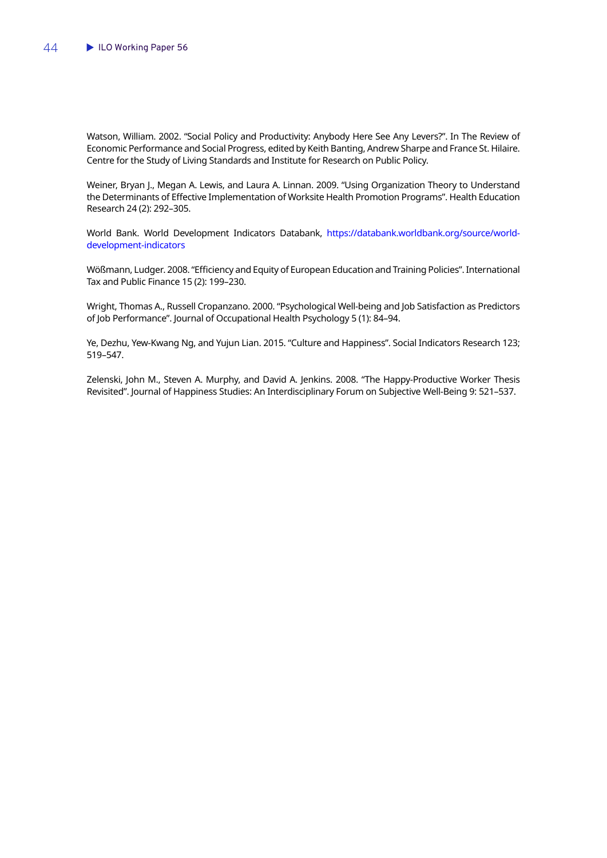Watson, William. 2002. "Social Policy and Productivity: Anybody Here See Any Levers?". In The Review of Economic Performance and Social Progress, edited by Keith Banting, Andrew Sharpe and France St. Hilaire. Centre for the Study of Living Standards and Institute for Research on Public Policy.

Weiner, Bryan J., Megan A. Lewis, and Laura A. Linnan. 2009. "Using Organization Theory to Understand the Determinants of Effective Implementation of Worksite Health Promotion Programs". Health Education Research 24 (2): 292–305.

World Bank. World Development Indicators Databank, [https://databank.worldbank.org/source/world](https://databank.worldbank.org/source/world-development-indicators)[development-indicators](https://databank.worldbank.org/source/world-development-indicators)

Wößmann, Ludger. 2008. "Efficiency and Equity of European Education and Training Policies". International Tax and Public Finance 15 (2): 199–230.

Wright, Thomas A., Russell Cropanzano. 2000. "Psychological Well-being and Job Satisfaction as Predictors of Job Performance". Journal of Occupational Health Psychology 5 (1): 84–94.

Ye, Dezhu, Yew-Kwang Ng, and Yujun Lian. 2015. "Culture and Happiness". Social Indicators Research 123; 519–547.

Zelenski, John M., Steven A. Murphy, and David A. Jenkins. 2008. "The Happy-Productive Worker Thesis Revisited". Journal of Happiness Studies: An Interdisciplinary Forum on Subjective Well-Being 9: 521–537.